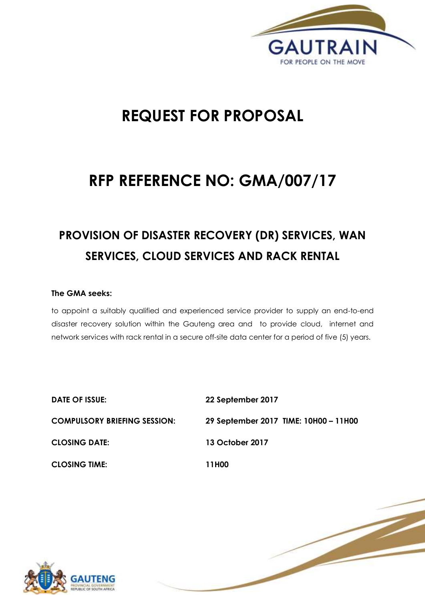

1 | P a g e

# **REQUEST FOR PROPOSAL**

# **RFP REFERENCE NO: GMA/007/17**

# **PROVISION OF DISASTER RECOVERY (DR) SERVICES, WAN SERVICES, CLOUD SERVICES AND RACK RENTAL**

# **The GMA seeks:**

to appoint a suitably qualified and experienced service provider to supply an end-to-end disaster recovery solution within the Gauteng area and to provide cloud, internet and network services with rack rental in a secure off-site data center for a period of five (5) years.

| <b>DATE OF ISSUE:</b>               | 22 September 2017                     |
|-------------------------------------|---------------------------------------|
| <b>COMPULSORY BRIEFING SESSION:</b> | 29 September 2017 TIME: 10H00 - 11H00 |
| <b>CLOSING DATE:</b>                | 13 October 2017                       |
| <b>CLOSING TIME:</b>                | 11H00                                 |

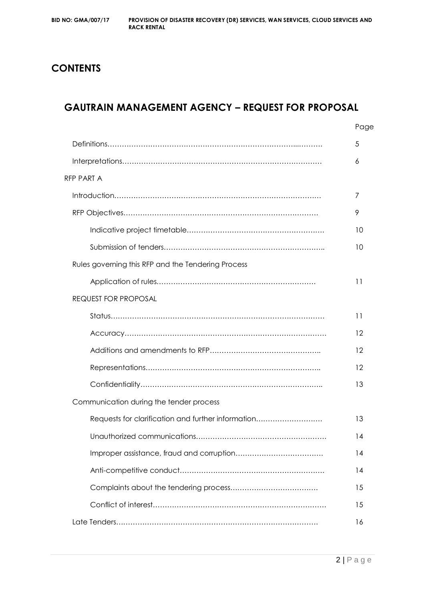# **CONTENTS**

# **GAUTRAIN MANAGEMENT AGENCY – REQUEST FOR PROPOSAL**

|                                                    | Page |
|----------------------------------------------------|------|
|                                                    | 5    |
|                                                    | 6    |
| RFP PART A                                         |      |
|                                                    | 7    |
|                                                    | 9    |
|                                                    | 10   |
|                                                    | 10   |
| Rules governing this RFP and the Tendering Process |      |
|                                                    | 11   |
| <b>REQUEST FOR PROPOSAL</b>                        |      |
|                                                    | 11   |
|                                                    | 12   |
|                                                    | 12   |
|                                                    | 12   |
|                                                    | 13   |
| Communication during the tender process            |      |
| Requests for clarification and further information | 13   |
|                                                    | 14   |
|                                                    | 14   |
|                                                    | 14   |
|                                                    | 15   |
|                                                    | 15   |
|                                                    | 16   |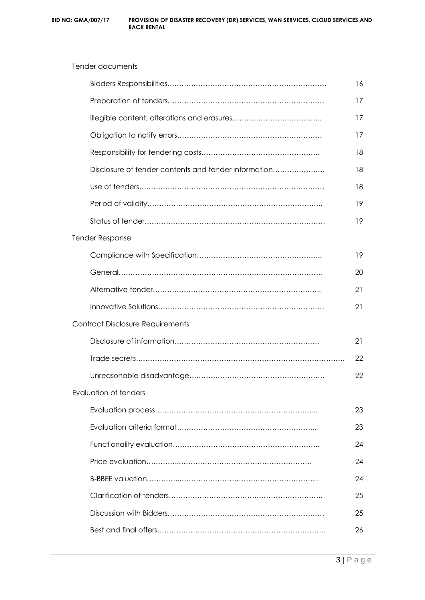|                                                      | 16 |
|------------------------------------------------------|----|
|                                                      | 17 |
|                                                      | 17 |
|                                                      | 17 |
|                                                      | 18 |
| Disclosure of tender contents and tender information | 18 |
|                                                      | 18 |
|                                                      | 19 |
|                                                      | 19 |
| <b>Tender Response</b>                               |    |
|                                                      | 19 |
|                                                      | 20 |
|                                                      | 21 |
|                                                      | 21 |
| Contract Disclosure Requirements                     |    |
|                                                      | 21 |
|                                                      | 22 |
|                                                      | 22 |
| Evaluation of tenders                                |    |
|                                                      | 23 |
|                                                      | 23 |
|                                                      | 24 |
|                                                      | 24 |
|                                                      | 24 |
|                                                      | 25 |
|                                                      | 25 |
|                                                      | 26 |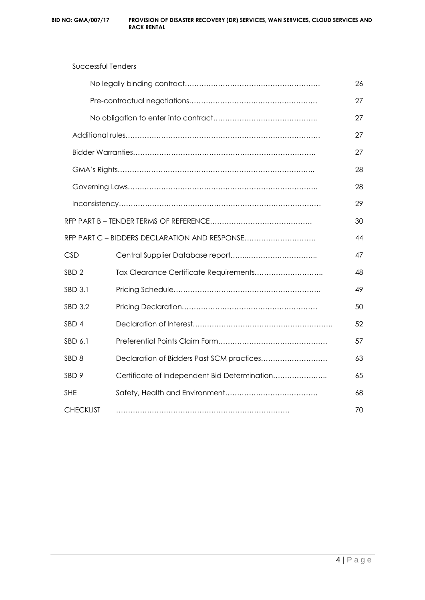Successful Tenders

|                  |                                               | 26 |
|------------------|-----------------------------------------------|----|
|                  |                                               | 27 |
|                  |                                               | 27 |
|                  |                                               | 27 |
|                  |                                               | 27 |
|                  |                                               | 28 |
|                  |                                               | 28 |
|                  |                                               | 29 |
|                  |                                               | 30 |
|                  | RFP PART C - BIDDERS DECLARATION AND RESPONSE | 44 |
| <b>CSD</b>       |                                               | 47 |
| SBD <sub>2</sub> | Tax Clearance Certificate Requirements        | 48 |
| SBD 3.1          |                                               | 49 |
| SBD 3.2          |                                               | 50 |
| SBD <sub>4</sub> |                                               | 52 |
| SBD 6.1          |                                               | 57 |
| SBD <sub>8</sub> | Declaration of Bidders Past SCM practices     | 63 |
| SBD 9            | Certificate of Independent Bid Determination  | 65 |

SHE Safety, Health and Environment………………………………… 68

CHECKLIST ………………………………………………………………. 70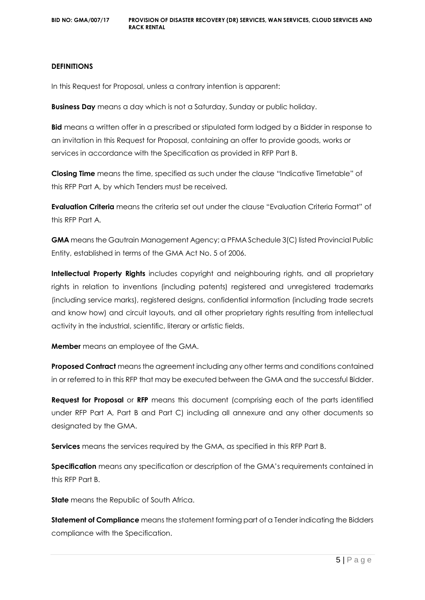#### **DEFINITIONS**

In this Request for Proposal, unless a contrary intention is apparent:

**Business Day** means a day which is not a Saturday, Sunday or public holiday.

**Bid** means a written offer in a prescribed or stipulated form lodged by a Bidder in response to an invitation in this Request for Proposal, containing an offer to provide goods, works or services in accordance with the Specification as provided in RFP Part B.

**Closing Time** means the time, specified as such under the clause "Indicative Timetable" of this RFP Part A, by which Tenders must be received.

**Evaluation Criteria** means the criteria set out under the clause "Evaluation Criteria Format" of this RFP Part A.

**GMA** means the Gautrain Management Agency; a PFMA Schedule 3(C) listed Provincial Public Entity, established in terms of the GMA Act No. 5 of 2006.

**Intellectual Property Rights** includes copyright and neighbouring rights, and all proprietary rights in relation to inventions (including patents) registered and unregistered trademarks (including service marks), registered designs, confidential information (including trade secrets and know how) and circuit layouts, and all other proprietary rights resulting from intellectual activity in the industrial, scientific, literary or artistic fields.

**Member** means an employee of the GMA.

**Proposed Contract** means the agreement including any other terms and conditions contained in or referred to in this RFP that may be executed between the GMA and the successful Bidder.

**Request for Proposal** or **RFP** means this document (comprising each of the parts identified under RFP Part A, Part B and Part C) including all annexure and any other documents so designated by the GMA.

**Services** means the services required by the GMA, as specified in this RFP Part B.

**Specification** means any specification or description of the GMA's requirements contained in this RFP Part B.

**State** means the Republic of South Africa.

**Statement of Compliance** means the statement forming part of a Tender indicating the Bidders compliance with the Specification.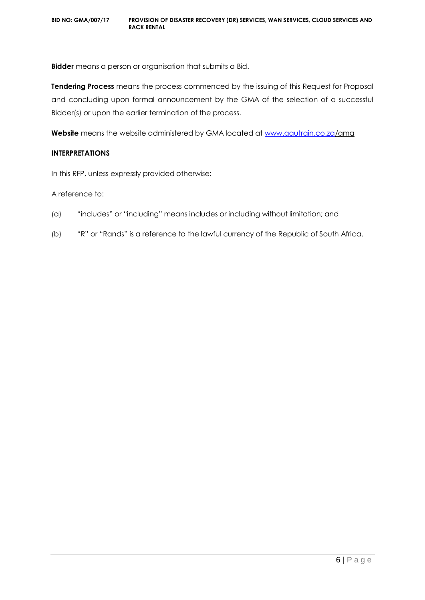**Bidder** means a person or organisation that submits a Bid.

**Tendering Process** means the process commenced by the issuing of this Request for Proposal and concluding upon formal announcement by the GMA of the selection of a successful Bidder(s) or upon the earlier termination of the process.

**Website** means the website administered by GMA located at [www.gautrain.co.za/](http://www.gautrain.co.za/)gma

#### **INTERPRETATIONS**

In this RFP, unless expressly provided otherwise:

A reference to:

- (a) "includes" or "including" means includes or including without limitation; and
- (b) "R" or "Rands" is a reference to the lawful currency of the Republic of South Africa.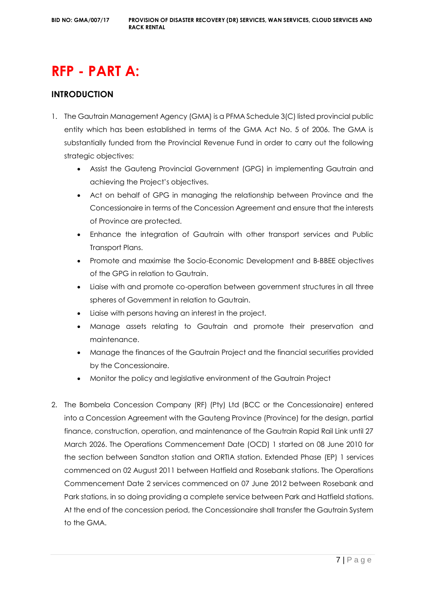# **RFP - PART A:**

# **INTRODUCTION**

- 1. The Gautrain Management Agency (GMA) is a PFMA Schedule 3(C) listed provincial public entity which has been established in terms of the GMA Act No. 5 of 2006. The GMA is substantially funded from the Provincial Revenue Fund in order to carry out the following strategic objectives:
	- Assist the Gauteng Provincial Government (GPG) in implementing Gautrain and achieving the Project's objectives.
	- Act on behalf of GPG in managing the relationship between Province and the Concessionaire in terms of the Concession Agreement and ensure that the interests of Province are protected.
	- Enhance the integration of Gautrain with other transport services and Public Transport Plans.
	- Promote and maximise the Socio-Economic Development and B-BBEE objectives of the GPG in relation to Gautrain.
	- Liaise with and promote co-operation between government structures in all three spheres of Government in relation to Gautrain.
	- Liaise with persons having an interest in the project.
	- Manage assets relating to Gautrain and promote their preservation and maintenance.
	- Manage the finances of the Gautrain Project and the financial securities provided by the Concessionaire.
	- Monitor the policy and legislative environment of the Gautrain Project
- 2. The Bombela Concession Company (RF) (Pty) Ltd (BCC or the Concessionaire) entered into a Concession Agreement with the Gauteng Province (Province) for the design, partial finance, construction, operation, and maintenance of the Gautrain Rapid Rail Link until 27 March 2026. The Operations Commencement Date (OCD) 1 started on 08 June 2010 for the section between Sandton station and ORTIA station. Extended Phase (EP) 1 services commenced on 02 August 2011 between Hatfield and Rosebank stations. The Operations Commencement Date 2 services commenced on 07 June 2012 between Rosebank and Park stations, in so doing providing a complete service between Park and Hatfield stations. At the end of the concession period, the Concessionaire shall transfer the Gautrain System to the GMA.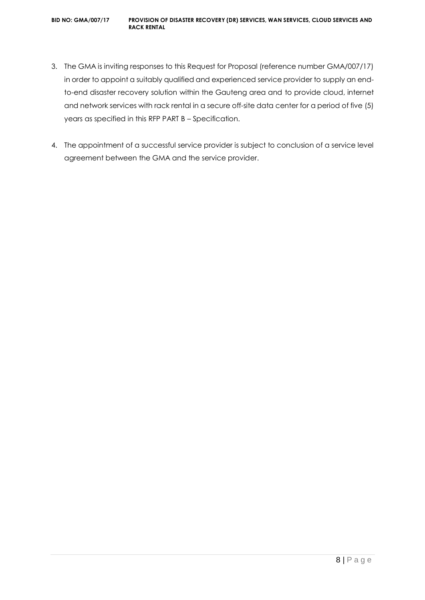- 3. The GMA is inviting responses to this Request for Proposal (reference number GMA/007/17) in order to appoint a suitably qualified and experienced service provider to supply an endto-end disaster recovery solution within the Gauteng area and to provide cloud, internet and network services with rack rental in a secure off-site data center for a period of five (5) years as specified in this RFP PART B – Specification.
- 4. The appointment of a successful service provider is subject to conclusion of a service level agreement between the GMA and the service provider.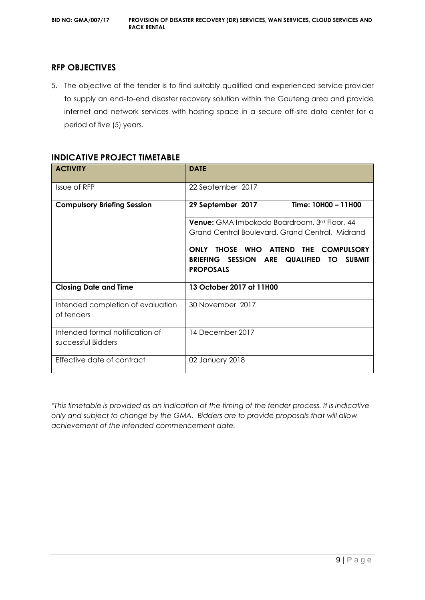# **RFP OBJECTIVES**

5. The objective of the tender is to find suitably qualified and experienced service provider to supply an end-to-end disaster recovery solution within the Gauteng area and provide internet and network services with hosting space in a secure off-site data center for a period of five (5) years.

| <b>ACTIVITY</b>                                       | <b>DATE</b>                                                                                                                                         |  |  |
|-------------------------------------------------------|-----------------------------------------------------------------------------------------------------------------------------------------------------|--|--|
| Issue of RFP                                          | 22 September 2017                                                                                                                                   |  |  |
| <b>Compulsory Briefing Session</b>                    | Time: 10H00 - 11H00<br>29 September 2017                                                                                                            |  |  |
|                                                       | Venue: GMA Imbokodo Boardroom, 3rd Floor, 44                                                                                                        |  |  |
|                                                       | Grand Central Boulevard, Grand Central, Midrand                                                                                                     |  |  |
|                                                       | THOSE WHO<br>ATTEND THE<br><b>ONLY</b><br><b>COMPULSORY</b><br>BRIEFING SESSION ARE<br><b>QUALIFIED</b><br><b>SUBMIT</b><br>TO.<br><b>PROPOSALS</b> |  |  |
| <b>Closing Date and Time</b>                          | 13 October 2017 at 11H00                                                                                                                            |  |  |
| Intended completion of evaluation<br>of tenders       | 30 November 2017                                                                                                                                    |  |  |
| Intended formal notification of<br>successful Bidders | 14 December 2017                                                                                                                                    |  |  |
| Effective date of contract                            | 02 January 2018                                                                                                                                     |  |  |

# **INDICATIVE PROJECT TIMETABLE**

*\*This timetable is provided as an indication of the timing of the tender process. It is indicative only and subject to change by the GMA. Bidders are to provide proposals that will allow achievement of the intended commencement date.*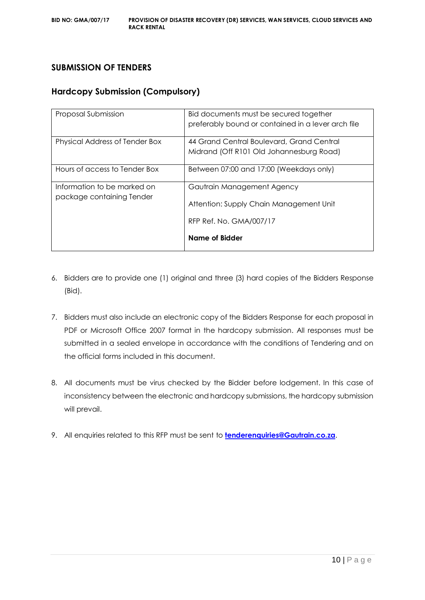# **SUBMISSION OF TENDERS**

# **Hardcopy Submission (Compulsory)**

| Proposal Submission                                      | Bid documents must be secured together<br>preferably bound or contained in a lever arch file     |  |
|----------------------------------------------------------|--------------------------------------------------------------------------------------------------|--|
| Physical Address of Tender Box                           | 44 Grand Central Boulevard, Grand Central<br>Midrand (Off R101 Old Johannesburg Road)            |  |
| Hours of access to Tender Box                            | Between 07:00 and 17:00 (Weekdays only)                                                          |  |
| Information to be marked on<br>package containing Tender | Gautrain Management Agency<br>Attention: Supply Chain Management Unit<br>RFP Ref. No. GMA/007/17 |  |
|                                                          | Name of Bidder                                                                                   |  |

- 6. Bidders are to provide one (1) original and three (3) hard copies of the Bidders Response (Bid).
- 7. Bidders must also include an electronic copy of the Bidders Response for each proposal in PDF or Microsoft Office 2007 format in the hardcopy submission. All responses must be submitted in a sealed envelope in accordance with the conditions of Tendering and on the official forms included in this document.
- 8. All documents must be virus checked by the Bidder before lodgement. In this case of inconsistency between the electronic and hardcopy submissions, the hardcopy submission will prevail.
- 9. All enquiries related to this RFP must be sent to **[tenderenquiries@Gautrain.co.za](mailto:tenderenquiries@Gautrain.co.za)**.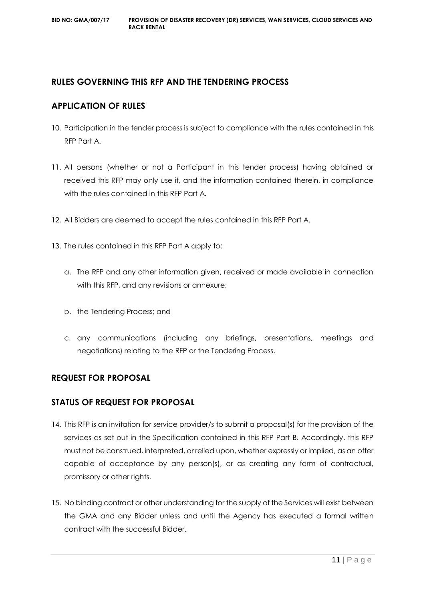# **RULES GOVERNING THIS RFP AND THE TENDERING PROCESS**

# **APPLICATION OF RULES**

- 10. Participation in the tender process is subject to compliance with the rules contained in this RFP Part A.
- 11. All persons (whether or not a Participant in this tender process) having obtained or received this RFP may only use it, and the information contained therein, in compliance with the rules contained in this RFP Part A.
- 12. All Bidders are deemed to accept the rules contained in this RFP Part A.
- 13. The rules contained in this RFP Part A apply to:
	- a. The RFP and any other information given, received or made available in connection with this RFP, and any revisions or annexure;
	- b. the Tendering Process; and
	- c. any communications (including any briefings, presentations, meetings and negotiations) relating to the RFP or the Tendering Process.

# **REQUEST FOR PROPOSAL**

# **STATUS OF REQUEST FOR PROPOSAL**

- 14. This RFP is an invitation for service provider/s to submit a proposal(s) for the provision of the services as set out in the Specification contained in this RFP Part B. Accordingly, this RFP must not be construed, interpreted, or relied upon, whether expressly or implied, as an offer capable of acceptance by any person(s), or as creating any form of contractual, promissory or other rights.
- 15. No binding contract or other understanding for the supply of the Services will exist between the GMA and any Bidder unless and until the Agency has executed a formal written contract with the successful Bidder.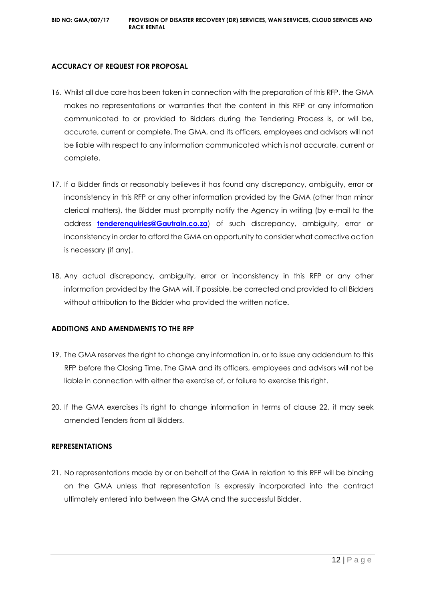#### **ACCURACY OF REQUEST FOR PROPOSAL**

- 16. Whilst all due care has been taken in connection with the preparation of this RFP, the GMA makes no representations or warranties that the content in this RFP or any information communicated to or provided to Bidders during the Tendering Process is, or will be, accurate, current or complete. The GMA, and its officers, employees and advisors will not be liable with respect to any information communicated which is not accurate, current or complete.
- 17. If a Bidder finds or reasonably believes it has found any discrepancy, ambiguity, error or inconsistency in this RFP or any other information provided by the GMA (other than minor clerical matters), the Bidder must promptly notify the Agency in writing (by e-mail to the address **[tenderenquiries@Gautrain.co.za](mailto:tenderenquiries@gautrainpo.co.za)**) of such discrepancy, ambiguity, error or inconsistency in order to afford the GMA an opportunity to consider what corrective action is necessary (if any).
- 18. Any actual discrepancy, ambiguity, error or inconsistency in this RFP or any other information provided by the GMA will, if possible, be corrected and provided to all Bidders without attribution to the Bidder who provided the written notice.

#### **ADDITIONS AND AMENDMENTS TO THE RFP**

- 19. The GMA reserves the right to change any information in, or to issue any addendum to this RFP before the Closing Time. The GMA and its officers, employees and advisors will not be liable in connection with either the exercise of, or failure to exercise this right.
- 20. If the GMA exercises its right to change information in terms of clause 22, it may seek amended Tenders from all Bidders.

#### **REPRESENTATIONS**

21. No representations made by or on behalf of the GMA in relation to this RFP will be binding on the GMA unless that representation is expressly incorporated into the contract ultimately entered into between the GMA and the successful Bidder.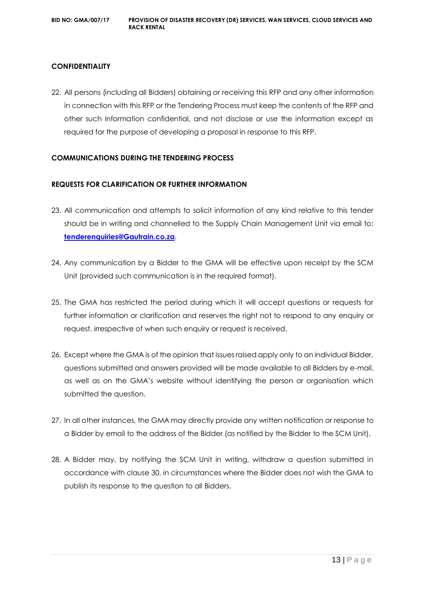# **CONFIDENTIALITY**

22. All persons (including all Bidders) obtaining or receiving this RFP and any other information in connection with this RFP or the Tendering Process must keep the contents of the RFP and other such information confidential, and not disclose or use the information except as required for the purpose of developing a proposal in response to this RFP.

#### **COMMUNICATIONS DURING THE TENDERING PROCESS**

#### **REQUESTS FOR CLARIFICATION OR FURTHER INFORMATION**

- 23. All communication and attempts to solicit information of any kind relative to this tender should be in writing and channelled to the Supply Chain Management Unit via email to: **[tenderenquiries@Gautrain.co.za](mailto:tenderenquiries@gautrainpo.co.za)**.
- 24. Any communication by a Bidder to the GMA will be effective upon receipt by the SCM Unit (provided such communication is in the required format).
- 25. The GMA has restricted the period during which it will accept questions or requests for further information or clarification and reserves the right not to respond to any enquiry or request, irrespective of when such enquiry or request is received.
- 26. Except where the GMA is of the opinion that issues raised apply only to an individual Bidder, questions submitted and answers provided will be made available to all Bidders by e-mail, as well as on the GMA's website without identifying the person or organisation which submitted the question.
- 27. In all other instances, the GMA may directly provide any written notification or response to a Bidder by email to the address of the Bidder (as notified by the Bidder to the SCM Unit).
- 28. A Bidder may, by notifying the SCM Unit in writing, withdraw a question submitted in accordance with clause 30, in circumstances where the Bidder does not wish the GMA to publish its response to the question to all Bidders.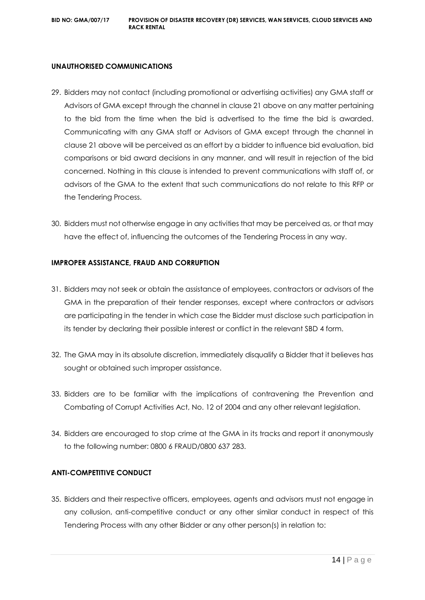#### **UNAUTHORISED COMMUNICATIONS**

- 29. Bidders may not contact (including promotional or advertising activities) any GMA staff or Advisors of GMA except through the channel in clause 21 above on any matter pertaining to the bid from the time when the bid is advertised to the time the bid is awarded. Communicating with any GMA staff or Advisors of GMA except through the channel in clause 21 above will be perceived as an effort by a bidder to influence bid evaluation, bid comparisons or bid award decisions in any manner, and will result in rejection of the bid concerned. Nothing in this clause is intended to prevent communications with staff of, or advisors of the GMA to the extent that such communications do not relate to this RFP or the Tendering Process.
- 30. Bidders must not otherwise engage in any activities that may be perceived as, or that may have the effect of, influencing the outcomes of the Tendering Process in any way.

#### **IMPROPER ASSISTANCE, FRAUD AND CORRUPTION**

- 31. Bidders may not seek or obtain the assistance of employees, contractors or advisors of the GMA in the preparation of their tender responses, except where contractors or advisors are participating in the tender in which case the Bidder must disclose such participation in its tender by declaring their possible interest or conflict in the relevant SBD 4 form.
- 32. The GMA may in its absolute discretion, immediately disqualify a Bidder that it believes has sought or obtained such improper assistance.
- 33. Bidders are to be familiar with the implications of contravening the Prevention and Combating of Corrupt Activities Act, No. 12 of 2004 and any other relevant legislation.
- 34. Bidders are encouraged to stop crime at the GMA in its tracks and report it anonymously to the following number: 0800 6 FRAUD/0800 637 283.

### **ANTI-COMPETITIVE CONDUCT**

35. Bidders and their respective officers, employees, agents and advisors must not engage in any collusion, anti-competitive conduct or any other similar conduct in respect of this Tendering Process with any other Bidder or any other person(s) in relation to: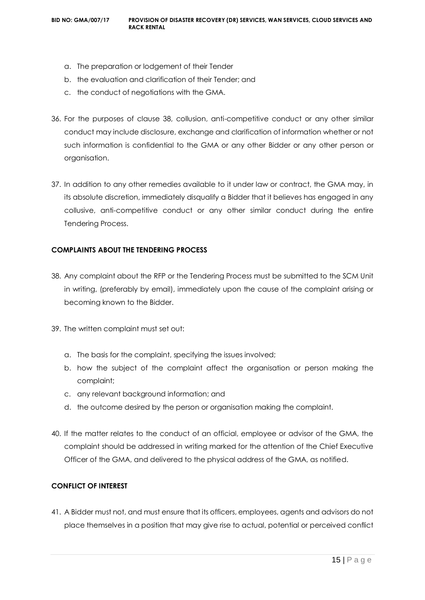- a. The preparation or lodgement of their Tender
- b. the evaluation and clarification of their Tender; and
- c. the conduct of negotiations with the GMA.
- 36. For the purposes of clause 38, collusion, anti-competitive conduct or any other similar conduct may include disclosure, exchange and clarification of information whether or not such information is confidential to the GMA or any other Bidder or any other person or organisation.
- 37. In addition to any other remedies available to it under law or contract, the GMA may, in its absolute discretion, immediately disqualify a Bidder that it believes has engaged in any collusive, anti-competitive conduct or any other similar conduct during the entire Tendering Process.

#### **COMPLAINTS ABOUT THE TENDERING PROCESS**

- 38. Any complaint about the RFP or the Tendering Process must be submitted to the SCM Unit in writing, (preferably by email), immediately upon the cause of the complaint arising or becoming known to the Bidder.
- 39. The written complaint must set out:
	- a. The basis for the complaint, specifying the issues involved;
	- b. how the subject of the complaint affect the organisation or person making the complaint;
	- c. any relevant background information; and
	- d. the outcome desired by the person or organisation making the complaint.
- 40. If the matter relates to the conduct of an official, employee or advisor of the GMA, the complaint should be addressed in writing marked for the attention of the Chief Executive Officer of the GMA, and delivered to the physical address of the GMA, as notified.

# **CONFLICT OF INTEREST**

41. A Bidder must not, and must ensure that its officers, employees, agents and advisors do not place themselves in a position that may give rise to actual, potential or perceived conflict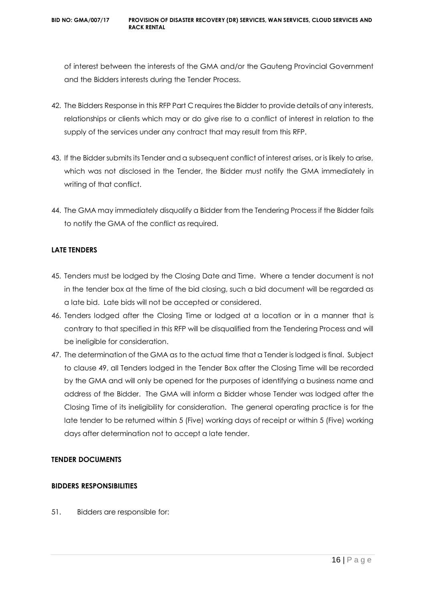of interest between the interests of the GMA and/or the Gauteng Provincial Government and the Bidders interests during the Tender Process.

- 42. The Bidders Response in this RFP Part C requires the Bidder to provide details of any interests, relationships or clients which may or do give rise to a conflict of interest in relation to the supply of the services under any contract that may result from this RFP.
- 43. If the Bidder submits its Tender and a subsequent conflict of interest arises, or is likely to arise, which was not disclosed in the Tender, the Bidder must notify the GMA immediately in writing of that conflict.
- 44. The GMA may immediately disqualify a Bidder from the Tendering Process if the Bidder fails to notify the GMA of the conflict as required.

# **LATE TENDERS**

- 45. Tenders must be lodged by the Closing Date and Time. Where a tender document is not in the tender box at the time of the bid closing, such a bid document will be regarded as a late bid. Late bids will not be accepted or considered.
- 46. Tenders lodged after the Closing Time or lodged at a location or in a manner that is contrary to that specified in this RFP will be disqualified from the Tendering Process and will be ineligible for consideration.
- 47. The determination of the GMA as to the actual time that a Tender is lodged is final. Subject to clause 49, all Tenders lodged in the Tender Box after the Closing Time will be recorded by the GMA and will only be opened for the purposes of identifying a business name and address of the Bidder. The GMA will inform a Bidder whose Tender was lodged after the Closing Time of its ineligibility for consideration. The general operating practice is for the late tender to be returned within 5 (Five) working days of receipt or within 5 (Five) working days after determination not to accept a late tender.

# **TENDER DOCUMENTS**

# **BIDDERS RESPONSIBILITIES**

51. Bidders are responsible for: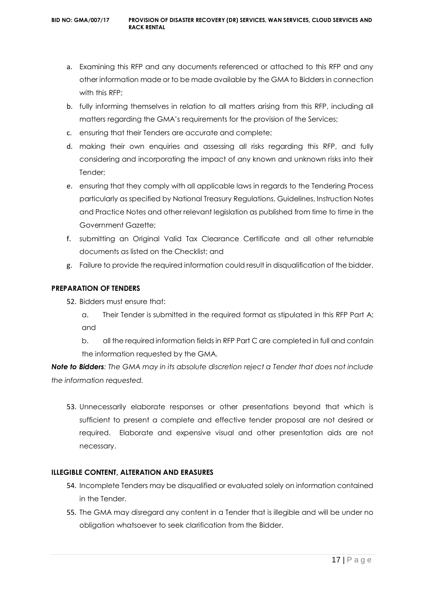- a. Examining this RFP and any documents referenced or attached to this RFP and any other information made or to be made available by the GMA to Bidders in connection with this RFP;
- b. fully informing themselves in relation to all matters arising from this RFP, including all matters regarding the GMA's requirements for the provision of the Services;
- c. ensuring that their Tenders are accurate and complete;
- d. making their own enquiries and assessing all risks regarding this RFP, and fully considering and incorporating the impact of any known and unknown risks into their Tender;
- e. ensuring that they comply with all applicable laws in regards to the Tendering Process particularly as specified by National Treasury Regulations, Guidelines, Instruction Notes and Practice Notes and other relevant legislation as published from time to time in the Government Gazette;
- f. submitting an Original Valid Tax Clearance Certificate and all other returnable documents as listed on the Checklist; and
- g. Failure to provide the required information could result in disqualification of the bidder.

# **PREPARATION OF TENDERS**

- 52. Bidders must ensure that:
	- a. Their Tender is submitted in the required format as stipulated in this RFP Part A; and
	- b. all the required information fields in RFP Part C are completed in full and contain the information requested by the GMA.

*Note to Bidders: The GMA may in its absolute discretion reject a Tender that does not include the information requested.*

53. Unnecessarily elaborate responses or other presentations beyond that which is sufficient to present a complete and effective tender proposal are not desired or required. Elaborate and expensive visual and other presentation aids are not necessary.

# **ILLEGIBLE CONTENT, ALTERATION AND ERASURES**

- 54. Incomplete Tenders may be disqualified or evaluated solely on information contained in the Tender.
- 55. The GMA may disregard any content in a Tender that is illegible and will be under no obligation whatsoever to seek clarification from the Bidder.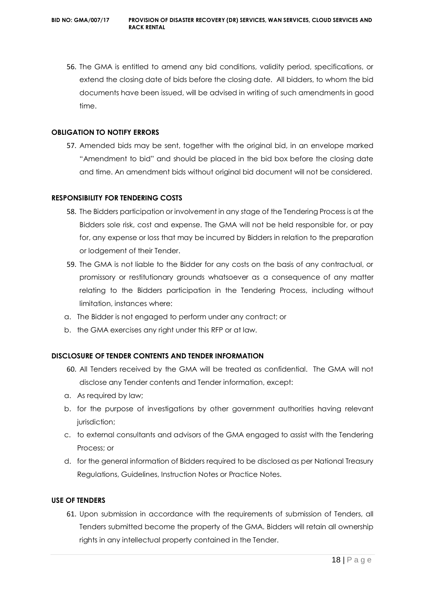56. The GMA is entitled to amend any bid conditions, validity period, specifications, or extend the closing date of bids before the closing date. All bidders, to whom the bid documents have been issued, will be advised in writing of such amendments in good time.

#### **OBLIGATION TO NOTIFY ERRORS**

57. Amended bids may be sent, together with the original bid, in an envelope marked "Amendment to bid" and should be placed in the bid box before the closing date and time. An amendment bids without original bid document will not be considered.

#### **RESPONSIBILITY FOR TENDERING COSTS**

- 58. The Bidders participation or involvement in any stage of the Tendering Process is at the Bidders sole risk, cost and expense. The GMA will not be held responsible for, or pay for, any expense or loss that may be incurred by Bidders in relation to the preparation or lodgement of their Tender.
- 59. The GMA is not liable to the Bidder for any costs on the basis of any contractual, or promissory or restitutionary grounds whatsoever as a consequence of any matter relating to the Bidders participation in the Tendering Process, including without limitation, instances where:
- a. The Bidder is not engaged to perform under any contract; or
- b. the GMA exercises any right under this RFP or at law.

# **DISCLOSURE OF TENDER CONTENTS AND TENDER INFORMATION**

- 60. All Tenders received by the GMA will be treated as confidential. The GMA will not disclose any Tender contents and Tender information, except:
- a. As required by law;
- b. for the purpose of investigations by other government authorities having relevant jurisdiction;
- c. to external consultants and advisors of the GMA engaged to assist with the Tendering Process; or
- d. for the general information of Bidders required to be disclosed as per National Treasury Regulations, Guidelines, Instruction Notes or Practice Notes.

# **USE OF TENDERS**

61. Upon submission in accordance with the requirements of submission of Tenders, all Tenders submitted become the property of the GMA. Bidders will retain all ownership rights in any intellectual property contained in the Tender.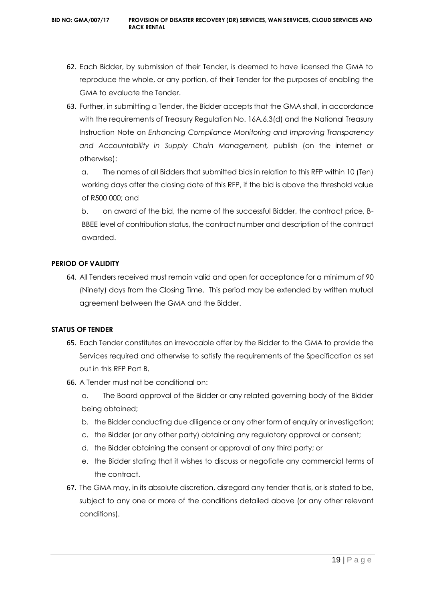- 62. Each Bidder, by submission of their Tender, is deemed to have licensed the GMA to reproduce the whole, or any portion, of their Tender for the purposes of enabling the GMA to evaluate the Tender.
- 63. Further, in submitting a Tender, the Bidder accepts that the GMA shall, in accordance with the requirements of Treasury Regulation No. 16A.6.3(d) and the National Treasury Instruction Note on *Enhancing Compliance Monitoring and Improving Transparency and Accountability in Supply Chain Management,* publish (on the internet or otherwise):

a. The names of all Bidders that submitted bids in relation to this RFP within 10 (Ten) working days after the closing date of this RFP, if the bid is above the threshold value of R500 000; and

b. on award of the bid, the name of the successful Bidder, the contract price, B-BBEE level of contribution status, the contract number and description of the contract awarded.

# **PERIOD OF VALIDITY**

64. All Tenders received must remain valid and open for acceptance for a minimum of 90 (Ninety) days from the Closing Time. This period may be extended by written mutual agreement between the GMA and the Bidder.

# **STATUS OF TENDER**

- 65. Each Tender constitutes an irrevocable offer by the Bidder to the GMA to provide the Services required and otherwise to satisfy the requirements of the Specification as set out in this RFP Part B.
- 66. A Tender must not be conditional on:
	- a. The Board approval of the Bidder or any related governing body of the Bidder being obtained;
	- b. the Bidder conducting due diligence or any other form of enquiry or investigation;
	- c. the Bidder (or any other party) obtaining any regulatory approval or consent;
	- d. the Bidder obtaining the consent or approval of any third party; or
	- e. the Bidder stating that it wishes to discuss or negotiate any commercial terms of the contract.
- 67. The GMA may, in its absolute discretion, disregard any tender that is, or is stated to be, subject to any one or more of the conditions detailed above (or any other relevant conditions).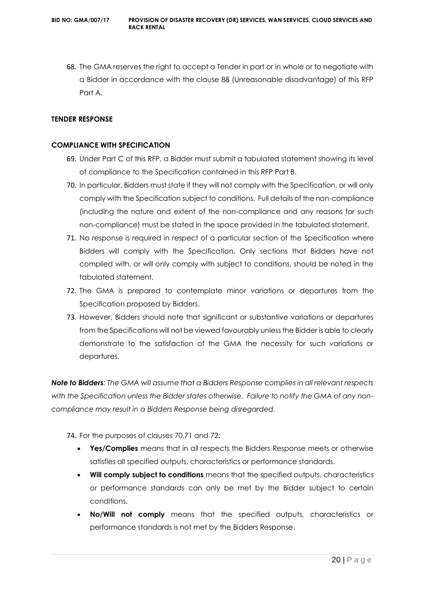68. The GMA reserves the right to accept a Tender in part or in whole or to negotiate with a Bidder in accordance with the clause 88 (Unreasonable disadvantage) of this RFP Part A.

# **TENDER RESPONSE**

# **COMPLIANCE WITH SPECIFICATION**

- 69. Under Part C of this RFP, a Bidder must submit a tabulated statement showing its level of compliance to the Specification contained in this RFP Part B.
- 70. In particular, Bidders must state if they will not comply with the Specification, or will only comply with the Specification subject to conditions. Full details of the non-compliance (including the nature and extent of the non-compliance and any reasons for such non-compliance) must be stated in the space provided in the tabulated statement.
- 71. No response is required in respect of a particular section of the Specification where Bidders will comply with the Specification. Only sections that Bidders have not complied with, or will only comply with subject to conditions, should be noted in the tabulated statement.
- 72. The GMA is prepared to contemplate minor variations or departures from the Specification proposed by Bidders.
- 73. However, Bidders should note that significant or substantive variations or departures from the Specifications will not be viewed favourably unless the Bidder is able to clearly demonstrate to the satisfaction of the GMA the necessity for such variations or departures.

*Note to Bidders: The GMA will assume that a Bidders Response complies in all relevant respects with the Specification unless the Bidder states otherwise. Failure to notify the GMA of any noncompliance may result in a Bidders Response being disregarded.*

74. For the purposes of clauses 70,71 and 72:

- **Yes/Complies** means that in all respects the Bidders Response meets or otherwise satisfies all specified outputs, characteristics or performance standards.
- **Will comply subject to conditions** means that the specified outputs, characteristics or performance standards can only be met by the Bidder subject to certain conditions.
- **No/Will not comply** means that the specified outputs, characteristics or performance standards is not met by the Bidders Response.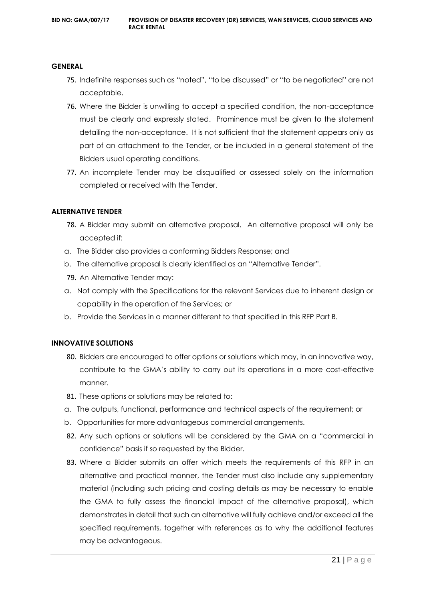#### **GENERAL**

- 75. Indefinite responses such as "noted", "to be discussed" or "to be negotiated" are not acceptable.
- 76. Where the Bidder is unwilling to accept a specified condition, the non-acceptance must be clearly and expressly stated. Prominence must be given to the statement detailing the non-acceptance. It is not sufficient that the statement appears only as part of an attachment to the Tender, or be included in a general statement of the Bidders usual operating conditions.
- 77. An incomplete Tender may be disqualified or assessed solely on the information completed or received with the Tender.

#### **ALTERNATIVE TENDER**

- 78. A Bidder may submit an alternative proposal. An alternative proposal will only be accepted if:
- a. The Bidder also provides a conforming Bidders Response; and
- b. The alternative proposal is clearly identified as an "Alternative Tender".
- 79. An Alternative Tender may:
- a. Not comply with the Specifications for the relevant Services due to inherent design or capability in the operation of the Services; or
- b. Provide the Services in a manner different to that specified in this RFP Part B.

#### **INNOVATIVE SOLUTIONS**

- 80. Bidders are encouraged to offer options or solutions which may, in an innovative way, contribute to the GMA's ability to carry out its operations in a more cost-effective manner.
- 81. These options or solutions may be related to:
- a. The outputs, functional, performance and technical aspects of the requirement; or
- b. Opportunities for more advantageous commercial arrangements.
- 82. Any such options or solutions will be considered by the GMA on a "commercial in confidence" basis if so requested by the Bidder.
- 83. Where a Bidder submits an offer which meets the requirements of this RFP in an alternative and practical manner, the Tender must also include any supplementary material (including such pricing and costing details as may be necessary to enable the GMA to fully assess the financial impact of the alternative proposal), which demonstrates in detail that such an alternative will fully achieve and/or exceed all the specified requirements, together with references as to why the additional features may be advantageous.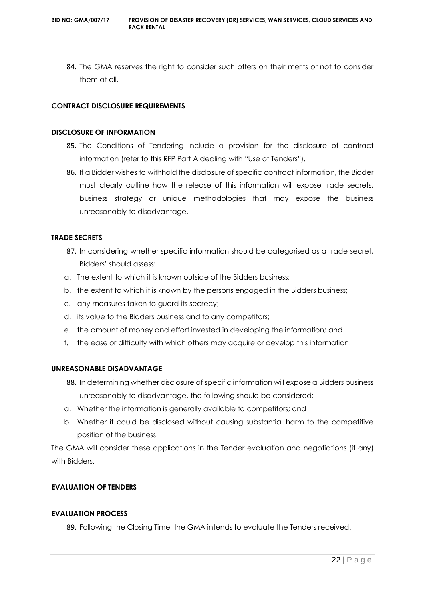84. The GMA reserves the right to consider such offers on their merits or not to consider them at all.

# **CONTRACT DISCLOSURE REQUIREMENTS**

#### **DISCLOSURE OF INFORMATION**

- 85. The Conditions of Tendering include a provision for the disclosure of contract information (refer to this RFP Part A dealing with "Use of Tenders").
- 86. If a Bidder wishes to withhold the disclosure of specific contract information, the Bidder must clearly outline how the release of this information will expose trade secrets, business strategy or unique methodologies that may expose the business unreasonably to disadvantage.

#### **TRADE SECRETS**

- 87. In considering whether specific information should be categorised as a trade secret, Bidders' should assess:
- a. The extent to which it is known outside of the Bidders business;
- b. the extent to which it is known by the persons engaged in the Bidders business;
- c. any measures taken to guard its secrecy;
- d. its value to the Bidders business and to any competitors;
- e. the amount of money and effort invested in developing the information; and
- f. the ease or difficulty with which others may acquire or develop this information.

#### **UNREASONABLE DISADVANTAGE**

- 88. In determining whether disclosure of specific information will expose a Bidders business unreasonably to disadvantage, the following should be considered:
- a. Whether the information is generally available to competitors; and
- b. Whether it could be disclosed without causing substantial harm to the competitive position of the business.

The GMA will consider these applications in the Tender evaluation and negotiations (if any) with Bidders.

# **EVALUATION OF TENDERS**

#### **EVALUATION PROCESS**

89. Following the Closing Time, the GMA intends to evaluate the Tenders received.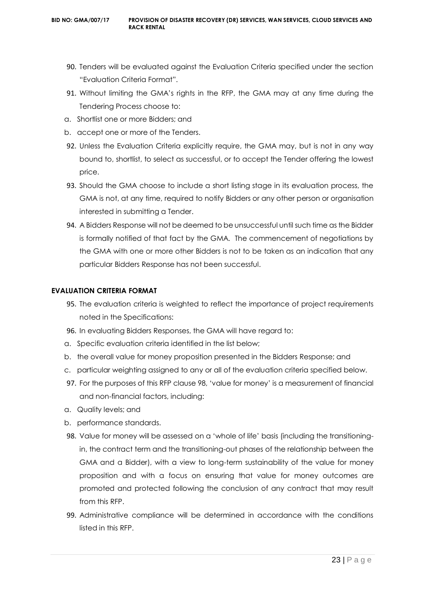- 90. Tenders will be evaluated against the Evaluation Criteria specified under the section "Evaluation Criteria Format".
- 91. Without limiting the GMA's rights in the RFP, the GMA may at any time during the Tendering Process choose to:
- a. Shortlist one or more Bidders; and
- b. accept one or more of the Tenders.
- 92. Unless the Evaluation Criteria explicitly require, the GMA may, but is not in any way bound to, shortlist, to select as successful, or to accept the Tender offering the lowest price.
- 93. Should the GMA choose to include a short listing stage in its evaluation process, the GMA is not, at any time, required to notify Bidders or any other person or organisation interested in submitting a Tender.
- 94. A Bidders Response will not be deemed to be unsuccessful until such time as the Bidder is formally notified of that fact by the GMA. The commencement of negotiations by the GMA with one or more other Bidders is not to be taken as an indication that any particular Bidders Response has not been successful.

#### **EVALUATION CRITERIA FORMAT**

- 95. The evaluation criteria is weighted to reflect the importance of project requirements noted in the Specifications:
- 96. In evaluating Bidders Responses, the GMA will have regard to:
- a. Specific evaluation criteria identified in the list below;
- b. the overall value for money proposition presented in the Bidders Response; and
- c. particular weighting assigned to any or all of the evaluation criteria specified below.
- 97. For the purposes of this RFP clause 98, 'value for money' is a measurement of financial and non-financial factors, including:
- a. Quality levels; and
- b. performance standards.
- 98. Value for money will be assessed on a 'whole of life' basis (including the transitioningin, the contract term and the transitioning-out phases of the relationship between the GMA and a Bidder), with a view to long-term sustainability of the value for money proposition and with a focus on ensuring that value for money outcomes are promoted and protected following the conclusion of any contract that may result from this RFP.
- 99. Administrative compliance will be determined in accordance with the conditions listed in this RFP.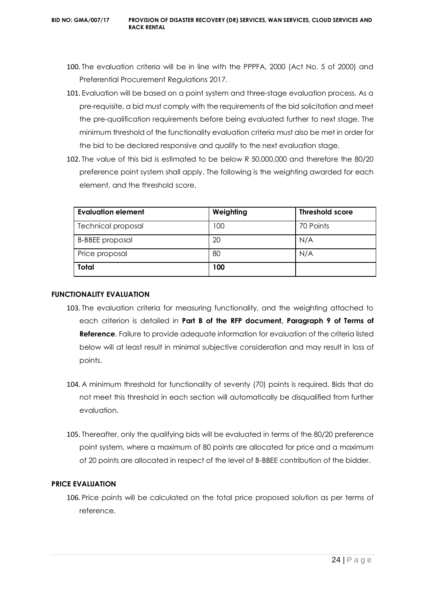- 100. The evaluation criteria will be in line with the PPPFA, 2000 (Act No. 5 of 2000) and Preferential Procurement Regulations 2017.
- 101. Evaluation will be based on a point system and three-stage evaluation process. As a pre-requisite, a bid must comply with the requirements of the bid solicitation and meet the pre-qualification requirements before being evaluated further to next stage. The minimum threshold of the functionality evaluation criteria must also be met in order for the bid to be declared responsive and qualify to the next evaluation stage.
- 102. The value of this bid is estimated to be below R 50,000,000 and therefore the 80/20 preference point system shall apply. The following is the weighting awarded for each element, and the threshold score.

| Evaluation element        | Weighting | <b>Threshold score</b> |
|---------------------------|-----------|------------------------|
| <b>Technical proposal</b> | 100       | 70 Points              |
| <b>B-BBEE</b> proposal    | 20        | N/A                    |
| Price proposal            | 80        | N/A                    |
| <b>Total</b>              | 100       |                        |

#### **FUNCTIONALITY EVALUATION**

- 103. The evaluation criteria for measuring functionality, and the weighting attached to each criterion is detailed in **Part B of the RFP document, Paragraph 9 of Terms of Reference**. Failure to provide adequate information for evaluation of the criteria listed below will at least result in minimal subjective consideration and may result in loss of points.
- 104. A minimum threshold for functionality of seventy (70) points is required. Bids that do not meet this threshold in each section will automatically be disqualified from further evaluation.
- 105. Thereafter, only the qualifying bids will be evaluated in terms of the 80/20 preference point system, where a maximum of 80 points are allocated for price and a maximum of 20 points are allocated in respect of the level of B-BBEE contribution of the bidder.

# **PRICE EVALUATION**

106. Price points will be calculated on the total price proposed solution as per terms of reference.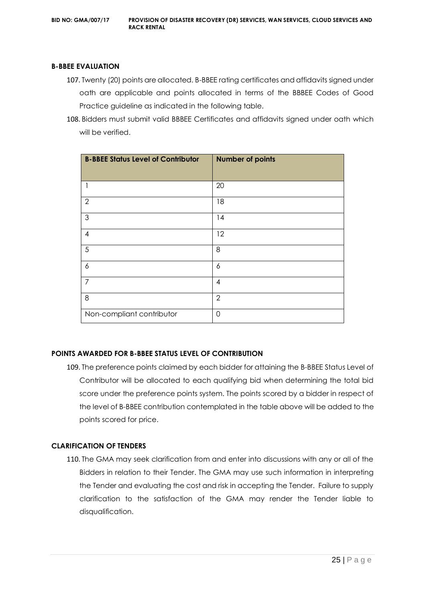#### **B-BBEE EVALUATION**

- 107. Twenty (20) points are allocated. B-BBEE rating certificates and affidavits signed under oath are applicable and points allocated in terms of the BBBEE Codes of Good Practice guideline as indicated in the following table.
- 108. Bidders must submit valid BBBEE Certificates and affidavits signed under oath which will be verified.

| <b>B-BBEE Status Level of Contributor</b> | <b>Number of points</b> |
|-------------------------------------------|-------------------------|
| 1                                         | 20                      |
| $\overline{2}$                            | 18                      |
| $\mathfrak{Z}$                            | 14                      |
| $\overline{4}$                            | 12                      |
| 5                                         | 8                       |
| 6                                         | 6                       |
| $\overline{7}$                            | 4                       |
| 8                                         | $\overline{2}$          |
| Non-compliant contributor                 | 0                       |

# **POINTS AWARDED FOR B-BBEE STATUS LEVEL OF CONTRIBUTION**

109. The preference points claimed by each bidder for attaining the B-BBEE Status Level of Contributor will be allocated to each qualifying bid when determining the total bid score under the preference points system. The points scored by a bidder in respect of the level of B-BBEE contribution contemplated in the table above will be added to the points scored for price.

#### **CLARIFICATION OF TENDERS**

110. The GMA may seek clarification from and enter into discussions with any or all of the Bidders in relation to their Tender. The GMA may use such information in interpreting the Tender and evaluating the cost and risk in accepting the Tender. Failure to supply clarification to the satisfaction of the GMA may render the Tender liable to disqualification.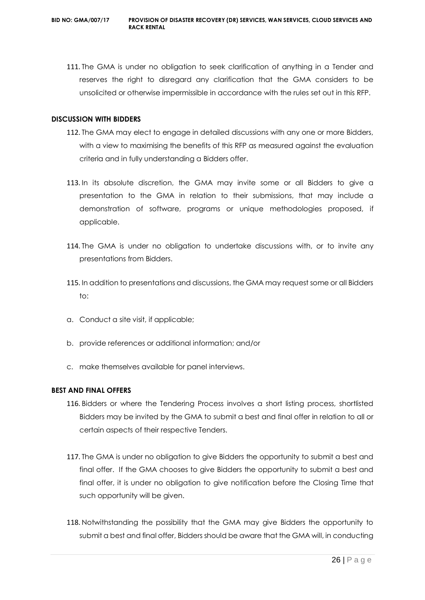111. The GMA is under no obligation to seek clarification of anything in a Tender and reserves the right to disregard any clarification that the GMA considers to be unsolicited or otherwise impermissible in accordance with the rules set out in this RFP.

#### **DISCUSSION WITH BIDDERS**

- 112. The GMA may elect to engage in detailed discussions with any one or more Bidders, with a view to maximising the benefits of this RFP as measured against the evaluation criteria and in fully understanding a Bidders offer.
- 113. In its absolute discretion, the GMA may invite some or all Bidders to give a presentation to the GMA in relation to their submissions, that may include a demonstration of software, programs or unique methodologies proposed, if applicable.
- 114. The GMA is under no obligation to undertake discussions with, or to invite any presentations from Bidders.
- 115. In addition to presentations and discussions, the GMA may request some or all Bidders to:
- a. Conduct a site visit, if applicable;
- b. provide references or additional information; and/or
- c. make themselves available for panel interviews.

# **BEST AND FINAL OFFERS**

- 116. Bidders or where the Tendering Process involves a short listing process, shortlisted Bidders may be invited by the GMA to submit a best and final offer in relation to all or certain aspects of their respective Tenders.
- 117. The GMA is under no obligation to give Bidders the opportunity to submit a best and final offer. If the GMA chooses to give Bidders the opportunity to submit a best and final offer, it is under no obligation to give notification before the Closing Time that such opportunity will be given.
- 118. Notwithstanding the possibility that the GMA may give Bidders the opportunity to submit a best and final offer, Bidders should be aware that the GMA will, in conducting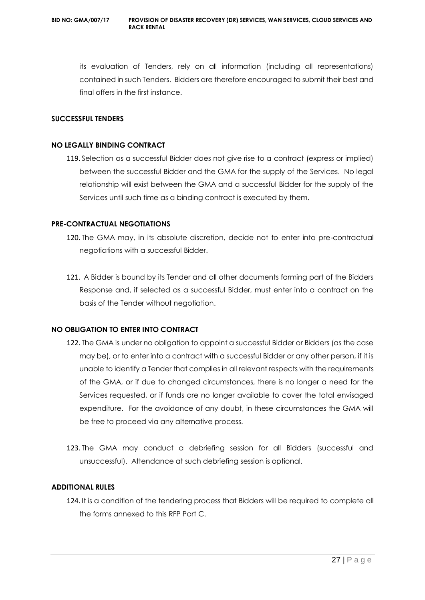its evaluation of Tenders, rely on all information (including all representations) contained in such Tenders. Bidders are therefore encouraged to submit their best and final offers in the first instance.

#### **SUCCESSFUL TENDERS**

#### **NO LEGALLY BINDING CONTRACT**

119. Selection as a successful Bidder does not give rise to a contract (express or implied) between the successful Bidder and the GMA for the supply of the Services. No legal relationship will exist between the GMA and a successful Bidder for the supply of the Services until such time as a binding contract is executed by them.

#### **PRE-CONTRACTUAL NEGOTIATIONS**

- 120. The GMA may, in its absolute discretion, decide not to enter into pre-contractual negotiations with a successful Bidder.
- 121. A Bidder is bound by its Tender and all other documents forming part of the Bidders Response and, if selected as a successful Bidder, must enter into a contract on the basis of the Tender without negotiation.

# **NO OBLIGATION TO ENTER INTO CONTRACT**

- 122. The GMA is under no obligation to appoint a successful Bidder or Bidders (as the case may be), or to enter into a contract with a successful Bidder or any other person, if it is unable to identify a Tender that complies in all relevant respects with the requirements of the GMA, or if due to changed circumstances, there is no longer a need for the Services requested, or if funds are no longer available to cover the total envisaged expenditure. For the avoidance of any doubt, in these circumstances the GMA will be free to proceed via any alternative process.
- 123. The GMA may conduct a debriefing session for all Bidders (successful and unsuccessful). Attendance at such debriefing session is optional.

# **ADDITIONAL RULES**

124. It is a condition of the tendering process that Bidders will be required to complete all the forms annexed to this RFP Part C.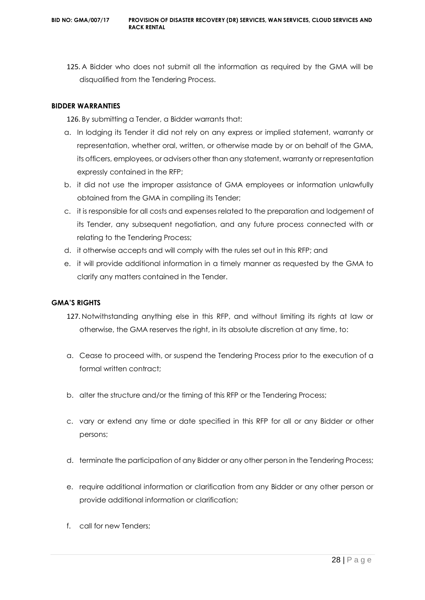125. A Bidder who does not submit all the information as required by the GMA will be disqualified from the Tendering Process.

# **BIDDER WARRANTIES**

126. By submitting a Tender, a Bidder warrants that:

- a. In lodging its Tender it did not rely on any express or implied statement, warranty or representation, whether oral, written, or otherwise made by or on behalf of the GMA, its officers, employees, or advisers other than any statement, warranty or representation expressly contained in the RFP;
- b. it did not use the improper assistance of GMA employees or information unlawfully obtained from the GMA in compiling its Tender;
- c. it is responsible for all costs and expenses related to the preparation and lodgement of its Tender, any subsequent negotiation, and any future process connected with or relating to the Tendering Process;
- d. it otherwise accepts and will comply with the rules set out in this RFP; and
- e. it will provide additional information in a timely manner as requested by the GMA to clarify any matters contained in the Tender.

### **GMA'S RIGHTS**

- 127. Notwithstanding anything else in this RFP, and without limiting its rights at law or otherwise, the GMA reserves the right, in its absolute discretion at any time, to:
- a. Cease to proceed with, or suspend the Tendering Process prior to the execution of a formal written contract;
- b. alter the structure and/or the timing of this RFP or the Tendering Process;
- c. vary or extend any time or date specified in this RFP for all or any Bidder or other persons;
- d. terminate the participation of any Bidder or any other person in the Tendering Process;
- e. require additional information or clarification from any Bidder or any other person or provide additional information or clarification;
- f. call for new Tenders;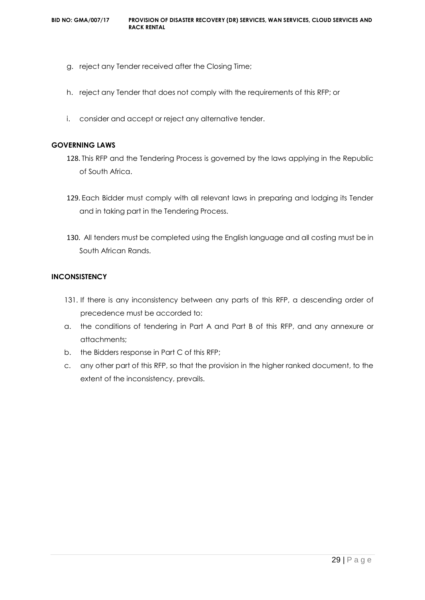- g. reject any Tender received after the Closing Time;
- h. reject any Tender that does not comply with the requirements of this RFP; or
- i. consider and accept or reject any alternative tender.

#### **GOVERNING LAWS**

- 128. This RFP and the Tendering Process is governed by the laws applying in the Republic of South Africa.
- 129. Each Bidder must comply with all relevant laws in preparing and lodging its Tender and in taking part in the Tendering Process.
- 130. All tenders must be completed using the English language and all costing must be in South African Rands.

# **INCONSISTENCY**

- 131. If there is any inconsistency between any parts of this RFP, a descending order of precedence must be accorded to:
- a. the conditions of tendering in Part A and Part B of this RFP, and any annexure or attachments;
- b. the Bidders response in Part C of this RFP;
- c. any other part of this RFP, so that the provision in the higher ranked document, to the extent of the inconsistency, prevails.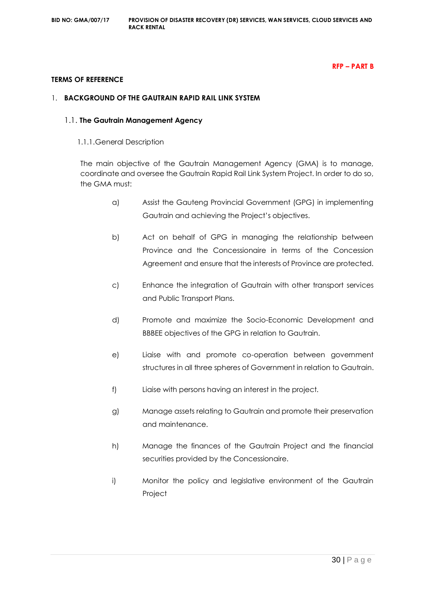#### **RFP – PART B**

#### **TERMS OF REFERENCE**

#### 1. **BACKGROUND OF THE GAUTRAIN RAPID RAIL LINK SYSTEM**

#### 1.1. **The Gautrain Management Agency**

1.1.1.General Description

The main objective of the Gautrain Management Agency (GMA) is to manage, coordinate and oversee the Gautrain Rapid Rail Link System Project. In order to do so, the GMA must:

- a) Assist the Gauteng Provincial Government (GPG) in implementing Gautrain and achieving the Project's objectives.
- b) Act on behalf of GPG in managing the relationship between Province and the Concessionaire in terms of the Concession Agreement and ensure that the interests of Province are protected.
- c) Enhance the integration of Gautrain with other transport services and Public Transport Plans.
- d) Promote and maximize the Socio-Economic Development and BBBEE objectives of the GPG in relation to Gautrain.
- e) Liaise with and promote co-operation between government structures in all three spheres of Government in relation to Gautrain.
- f) Liaise with persons having an interest in the project.
- g) Manage assets relating to Gautrain and promote their preservation and maintenance.
- h) Manage the finances of the Gautrain Project and the financial securities provided by the Concessionaire.
- i) Monitor the policy and legislative environment of the Gautrain Project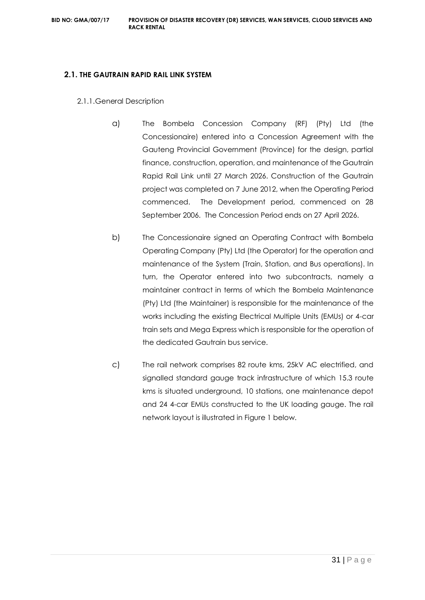#### **2.1. THE GAUTRAIN RAPID RAIL LINK SYSTEM**

- 2.1.1.General Description
	- a) The Bombela Concession Company (RF) (Pty) Ltd (the Concessionaire) entered into a Concession Agreement with the Gauteng Provincial Government (Province) for the design, partial finance, construction, operation, and maintenance of the Gautrain Rapid Rail Link until 27 March 2026. Construction of the Gautrain project was completed on 7 June 2012, when the Operating Period commenced. The Development period, commenced on 28 September 2006. The Concession Period ends on 27 April 2026.
	- b) The Concessionaire signed an Operating Contract with Bombela Operating Company (Pty) Ltd (the Operator) for the operation and maintenance of the System (Train, Station, and Bus operations). In turn, the Operator entered into two subcontracts, namely a maintainer contract in terms of which the Bombela Maintenance (Pty) Ltd (the Maintainer) is responsible for the maintenance of the works including the existing Electrical Multiple Units (EMUs) or 4-car train sets and Mega Express which is responsible for the operation of the dedicated Gautrain bus service.
	- c) The rail network comprises 82 route kms, 25kV AC electrified, and signalled standard gauge track infrastructure of which 15.3 route kms is situated underground, 10 stations, one maintenance depot and 24 4-car EMUs constructed to the UK loading gauge. The rail network layout is illustrated in Figure 1 below.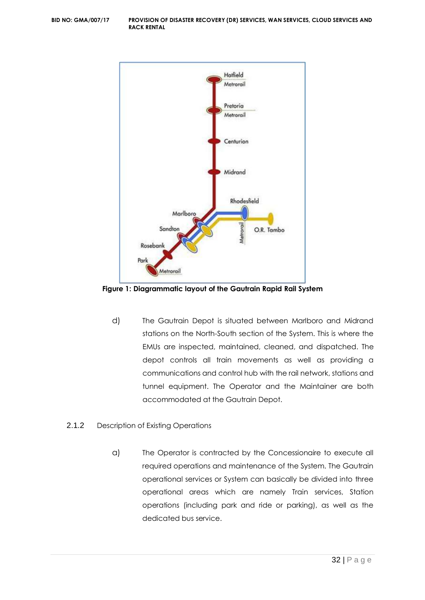

**Figure 1: Diagrammatic layout of the Gautrain Rapid Rail System**

- d) The Gautrain Depot is situated between Marlboro and Midrand stations on the North-South section of the System. This is where the EMUs are inspected, maintained, cleaned, and dispatched. The depot controls all train movements as well as providing a communications and control hub with the rail network, stations and tunnel equipment. The Operator and the Maintainer are both accommodated at the Gautrain Depot.
- 2.1.2 Description of Existing Operations
	- a) The Operator is contracted by the Concessionaire to execute all required operations and maintenance of the System. The Gautrain operational services or System can basically be divided into three operational areas which are namely Train services, Station operations (including park and ride or parking), as well as the dedicated bus service.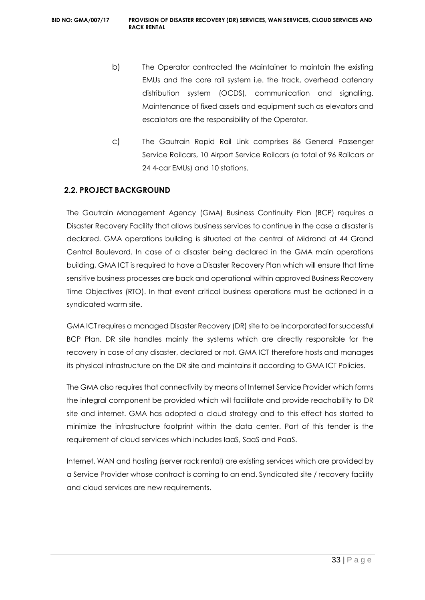- b) The Operator contracted the Maintainer to maintain the existing EMUs and the core rail system i.e. the track, overhead catenary distribution system (OCDS), communication and signalling. Maintenance of fixed assets and equipment such as elevators and escalators are the responsibility of the Operator.
- c) The Gautrain Rapid Rail Link comprises 86 General Passenger Service Railcars, 10 Airport Service Railcars (a total of 96 Railcars or 24 4-car EMUs) and 10 stations.

# **2.2. PROJECT BACKGROUND**

The Gautrain Management Agency (GMA) Business Continuity Plan (BCP) requires a Disaster Recovery Facility that allows business services to continue in the case a disaster is declared. GMA operations building is situated at the central of Midrand at 44 Grand Central Boulevard. In case of a disaster being declared in the GMA main operations building, GMA ICT is required to have a Disaster Recovery Plan which will ensure that time sensitive business processes are back and operational within approved Business Recovery Time Objectives (RTO). In that event critical business operations must be actioned in a syndicated warm site.

GMA ICT requires a managed Disaster Recovery (DR) site to be incorporated for successful BCP Plan. DR site handles mainly the systems which are directly responsible for the recovery in case of any disaster, declared or not. GMA ICT therefore hosts and manages its physical infrastructure on the DR site and maintains it according to GMA ICT Policies.

The GMA also requires that connectivity by means of Internet Service Provider which forms the integral component be provided which will facilitate and provide reachability to DR site and internet. GMA has adopted a cloud strategy and to this effect has started to minimize the infrastructure footprint within the data center. Part of this tender is the requirement of cloud services which includes IaaS, SaaS and PaaS.

Internet, WAN and hosting (server rack rental) are existing services which are provided by a Service Provider whose contract is coming to an end. Syndicated site / recovery facility and cloud services are new requirements.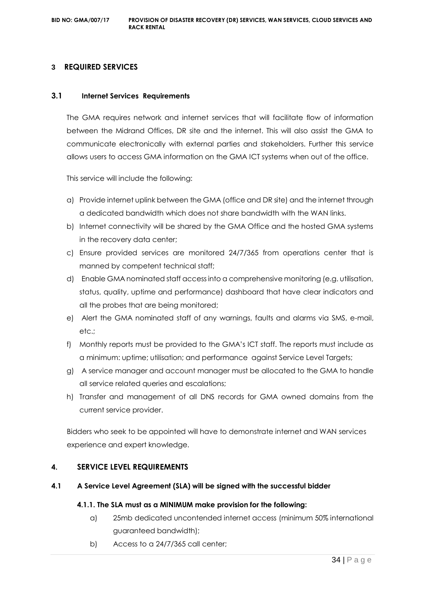# **3 REQUIRED SERVICES**

#### **3.1 Internet Services Requirements**

The GMA requires network and internet services that will facilitate flow of information between the Midrand Offices, DR site and the internet. This will also assist the GMA to communicate electronically with external parties and stakeholders. Further this service allows users to access GMA information on the GMA ICT systems when out of the office.

This service will include the following:

- a) Provide internet uplink between the GMA (office and DR site) and the internet through a dedicated bandwidth which does not share bandwidth with the WAN links.
- b) Internet connectivity will be shared by the GMA Office and the hosted GMA systems in the recovery data center;
- c) Ensure provided services are monitored 24/7/365 from operations center that is manned by competent technical staff;
- d) Enable GMA nominated staff access into a comprehensive monitoring (e.g. utilisation, status, quality, uptime and performance) dashboard that have clear indicators and all the probes that are being monitored;
- e) Alert the GMA nominated staff of any warnings, faults and alarms via SMS, e-mail, etc.;
- f) Monthly reports must be provided to the GMA's ICT staff. The reports must include as a minimum: uptime; utilisation; and performance against Service Level Targets;
- g) A service manager and account manager must be allocated to the GMA to handle all service related queries and escalations;
- h) Transfer and management of all DNS records for GMA owned domains from the current service provider.

Bidders who seek to be appointed will have to demonstrate internet and WAN services experience and expert knowledge.

#### **4. SERVICE LEVEL REQUIREMENTS**

#### **4.1 A Service Level Agreement (SLA) will be signed with the successful bidder**

#### **4.1.1. The SLA must as a MINIMUM make provision for the following:**

- a) 25mb dedicated uncontended internet access (minimum 50% international guaranteed bandwidth);
- b) Access to a 24/7/365 call center;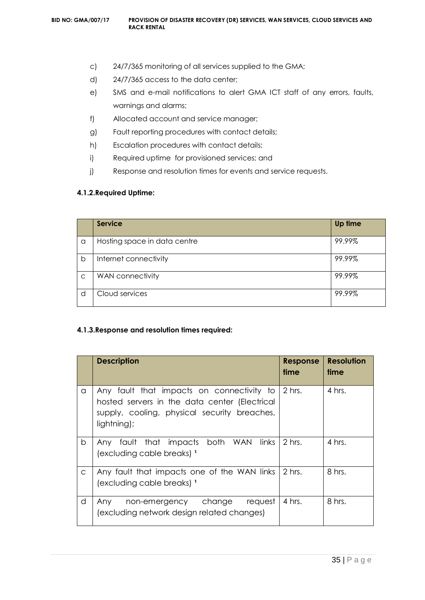- c) 24/7/365 monitoring of all services supplied to the GMA;
- d) 24/7/365 access to the data center;
- e) SMS and e-mail notifications to alert GMA ICT staff of any errors, faults, warnings and alarms;
- f) Allocated account and service manager;
- g) Fault reporting procedures with contact details;
- h) Escalation procedures with contact details;
- i) Required uptime for provisioned services; and
- j) Response and resolution times for events and service requests.

#### **4.1.2.Required Uptime:**

|              | <b>Service</b>               | Up time |
|--------------|------------------------------|---------|
| a            | Hosting space in data centre | 99.99%  |
| b            | Internet connectivity        | 99.99%  |
| $\mathsf{C}$ | WAN connectivity             | 99.99%  |
| d            | Cloud services               | 99.99%  |

#### **4.1.3.Response and resolution times required:**

|              | <b>Description</b>                                                                                                                                               | <b>Response</b><br>time | <b>Resolution</b><br>time |
|--------------|------------------------------------------------------------------------------------------------------------------------------------------------------------------|-------------------------|---------------------------|
| a            | Any fault that impacts on connectivity to 2 hrs.<br>hosted servers in the data center (Electrical<br>supply, cooling, physical security breaches,<br>lightning); |                         | 4 hrs.                    |
| b            | Any fault that impacts both WAN links<br>(excluding cable breaks) <sup>1</sup>                                                                                   | 2 hrs.                  | 4 hrs.                    |
| $\mathsf{C}$ | Any fault that impacts one of the WAN links<br>(excluding cable breaks) 1                                                                                        | 2 hrs.                  | 8 hrs.                    |
| d            | non-emergency change<br>reauest<br>Any<br>(excluding network design related changes)                                                                             | 4 hrs.                  | 8 hrs.                    |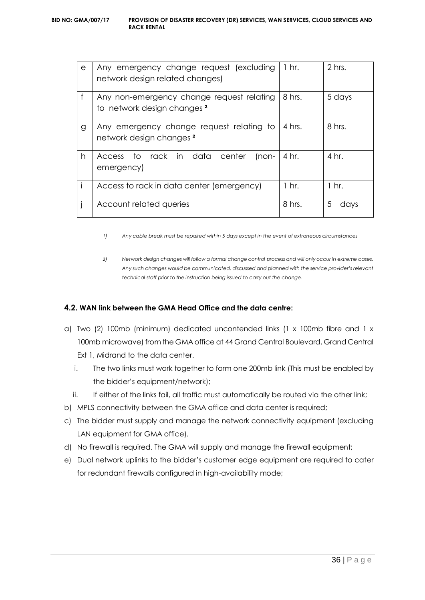| e | Any emergency change request (excluding<br>network design related changes)          | $1 \; hr.$ | 2 hrs.    |
|---|-------------------------------------------------------------------------------------|------------|-----------|
| f | Any non-emergency change request relating<br>to network design changes <sup>2</sup> | 8 hrs.     | 5 days    |
| g | Any emergency change request relating to<br>network design changes <sup>2</sup>     | 4 hrs.     | 8 hrs.    |
| h | to rack in data center<br>$Inon-$<br><b>Access</b><br>emergency)                    | 4 hr.      | 4 hr.     |
|   | Access to rack in data center (emergency)                                           | $1$ hr.    | $1$ hr.   |
|   | Account related queries                                                             | 8 hrs.     | 5<br>davs |

*1) Any cable break must be repaired within 5 days except in the event of extraneous circumstances*

*2) Network design changes will follow a formal change control process and will only occur in extreme cases. Any such changes would be communicated, discussed and planned with the service provider's relevant technical staff prior to the instruction being issued to carry out the change.*

# **4.2. WAN link between the GMA Head Office and the data centre:**

- a) Two (2) 100mb (minimum) dedicated uncontended links (1 x 100mb fibre and 1 x 100mb microwave) from the GMA office at 44 Grand Central Boulevard, Grand Central Ext 1, Midrand to the data center.
	- i. The two links must work together to form one 200mb link (This must be enabled by the bidder's equipment/network);
	- ii. If either of the links fail, all traffic must automatically be routed via the other link;
- b) MPLS connectivity between the GMA office and data center is required;
- c) The bidder must supply and manage the network connectivity equipment (excluding LAN equipment for GMA office).
- d) No firewall is required. The GMA will supply and manage the firewall equipment;
- e) Dual network uplinks to the bidder's customer edge equipment are required to cater for redundant firewalls configured in high-availability mode;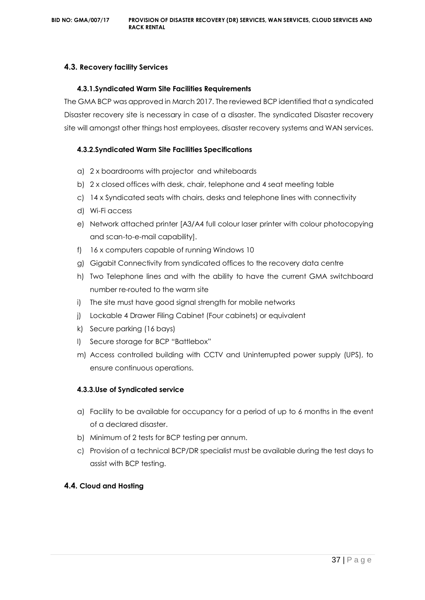# **4.3. Recovery facility Services**

### **4.3.1.Syndicated Warm Site Facilities Requirements**

The GMA BCP was approved in March 2017. The reviewed BCP identified that a syndicated Disaster recovery site is necessary in case of a disaster. The syndicated Disaster recovery site will amongst other things host employees, disaster recovery systems and WAN services.

# **4.3.2.Syndicated Warm Site Facilities Specifications**

- a) 2 x boardrooms with projector and whiteboards
- b) 2 x closed offices with desk, chair, telephone and 4 seat meeting table
- c) 14 x Syndicated seats with chairs, desks and telephone lines with connectivity
- d) Wi-Fi access
- e) Network attached printer [A3/A4 full colour laser printer with colour photocopying and scan-to-e-mail capability].
- f) 16 x computers capable of running Windows 10
- g) Gigabit Connectivity from syndicated offices to the recovery data centre
- h) Two Telephone lines and with the ability to have the current GMA switchboard number re-routed to the warm site
- i) The site must have good signal strength for mobile networks
- j) Lockable 4 Drawer Filing Cabinet (Four cabinets) or equivalent
- k) Secure parking (16 bays)
- l) Secure storage for BCP "Battlebox"
- m) Access controlled building with CCTV and Uninterrupted power supply (UPS), to ensure continuous operations.

# **4.3.3.Use of Syndicated service**

- a) Facility to be available for occupancy for a period of up to 6 months in the event of a declared disaster.
- b) Minimum of 2 tests for BCP testing per annum.
- c) Provision of a technical BCP/DR specialist must be available during the test days to assist with BCP testing.

# **4.4. Cloud and Hosting**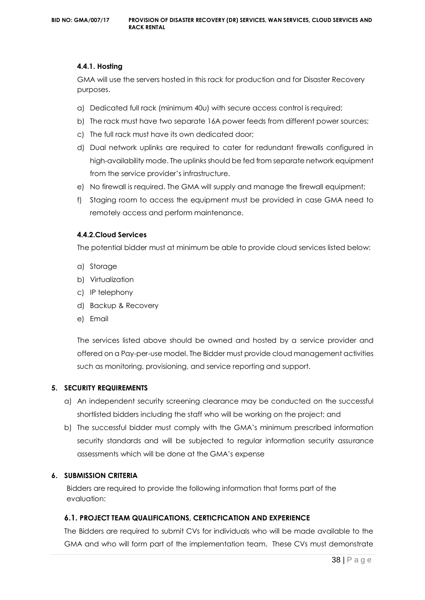#### **4.4.1. Hosting**

GMA will use the servers hosted in this rack for production and for Disaster Recovery purposes.

- a) Dedicated full rack (minimum 40u) with secure access control is required;
- b) The rack must have two separate 16A power feeds from different power sources;
- c) The full rack must have its own dedicated door;
- d) Dual network uplinks are required to cater for redundant firewalls configured in high-availability mode. The uplinks should be fed from separate network equipment from the service provider's infrastructure.
- e) No firewall is required. The GMA will supply and manage the firewall equipment;
- f) Staging room to access the equipment must be provided in case GMA need to remotely access and perform maintenance.

#### **4.4.2.Cloud Services**

The potential bidder must at minimum be able to provide cloud services listed below:

- a) Storage
- b) Virtualization
- c) IP telephony
- d) Backup & Recovery
- e) Email

The services listed above should be owned and hosted by a service provider and offered on a Pay-per-use model. The Bidder must provide cloud management activities such as monitoring, provisioning, and service reporting and support.

#### **5. SECURITY REQUIREMENTS**

- a) An independent security screening clearance may be conducted on the successful shortlisted bidders including the staff who will be working on the project; and
- b) The successful bidder must comply with the GMA's minimum prescribed information security standards and will be subjected to regular information security assurance assessments which will be done at the GMA's expense

#### **6. SUBMISSION CRITERIA**

Bidders are required to provide the following information that forms part of the evaluation:

#### **6.1. PROJECT TEAM QUALIFICATIONS, CERTICFICATION AND EXPERIENCE**

The Bidders are required to submit CVs for individuals who will be made available to the GMA and who will form part of the implementation team. These CVs must demonstrate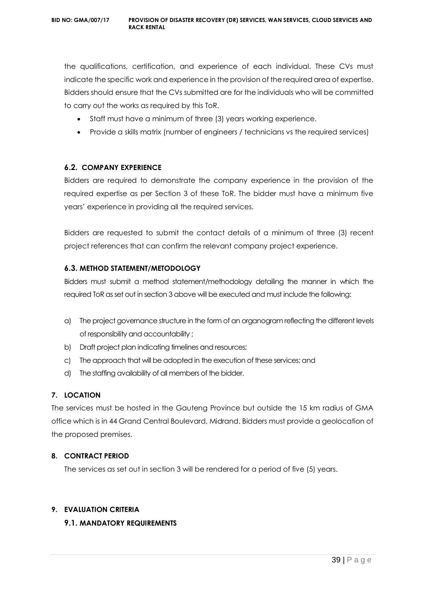the qualifications, certification, and experience of each individual. These CVs must indicate the specific work and experience in the provision of the required area of expertise. Bidders should ensure that the CVs submitted are for the individuals who will be committed to carry out the works as required by this ToR.

- Staff must have a minimum of three (3) years working experience.
- Provide a skills matrix (number of engineers / technicians vs the required services)

# **6.2. COMPANY EXPERIENCE**

Bidders are required to demonstrate the company experience in the provision of the required expertise as per Section 3 of these ToR. The bidder must have a minimum five years' experience in providing all the required services.

Bidders are requested to submit the contact details of a minimum of three (3) recent project references that can confirm the relevant company project experience.

# **6.3. METHOD STATEMENT/METODOLOGY**

Bidders must submit a method statement/methodology detailing the manner in which the required ToR as set out in section 3 above will be executed and must include the following:

- a) The project governance structure in the form of an organogram reflecting the different levels of responsibility and accountability ;
- b) Draft project plan indicating timelines and resources;
- c) The approach that will be adopted in the execution of these services; and
- d) The staffing availability of all members of the bidder.

# **7. LOCATION**

The services must be hosted in the Gauteng Province but outside the 15 km radius of GMA office which is in 44 Grand Central Boulevard, Midrand. Bidders must provide a geolocation of the proposed premises.

# **8. CONTRACT PERIOD**

The services as set out in section 3 will be rendered for a period of five (5) years.

# **9. EVALUATION CRITERIA**

# **9.1. MANDATORY REQUIREMENTS**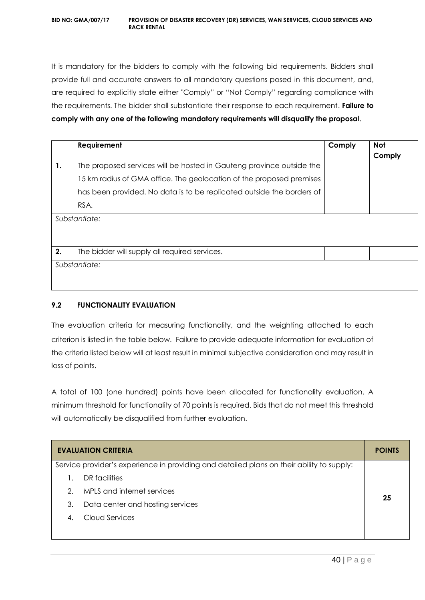It is mandatory for the bidders to comply with the following bid requirements. Bidders shall provide full and accurate answers to all mandatory questions posed in this document, and, are required to explicitly state either "Comply" or "Not Comply" regarding compliance with the requirements. The bidder shall substantiate their response to each requirement. **Failure to comply with any one of the following mandatory requirements will disqualify the proposal**.

|    | Requirement                                                           | Comply | <b>Not</b> |
|----|-----------------------------------------------------------------------|--------|------------|
|    |                                                                       |        | Comply     |
| 1. | The proposed services will be hosted in Gauteng province outside the  |        |            |
|    | 15 km radius of GMA office. The geolocation of the proposed premises  |        |            |
|    | has been provided. No data is to be replicated outside the borders of |        |            |
|    | RSA.                                                                  |        |            |
|    | Substantiate:                                                         |        |            |
|    |                                                                       |        |            |
| 2. | The bidder will supply all required services.                         |        |            |
|    | Substantiate:                                                         |        |            |
|    |                                                                       |        |            |
|    |                                                                       |        |            |

# **9.2 FUNCTIONALITY EVALUATION**

The evaluation criteria for measuring functionality, and the weighting attached to each criterion is listed in the table below. Failure to provide adequate information for evaluation of the criteria listed below will at least result in minimal subjective consideration and may result in loss of points.

A total of 100 (one hundred) points have been allocated for functionality evaluation. A minimum threshold for functionality of 70 points is required. Bids that do not meet this threshold will automatically be disqualified from further evaluation.

|                       | <b>EVALUATION CRITERIA</b>                                                                | <b>POINTS</b> |
|-----------------------|-------------------------------------------------------------------------------------------|---------------|
|                       | Service provider's experience in providing and detailed plans on their ability to supply: |               |
|                       | DR facilities                                                                             |               |
| 2.                    | MPLS and internet services                                                                | 25            |
| 3.                    | Data center and hosting services                                                          |               |
| $\mathcal{A}_{\cdot}$ | Cloud Services                                                                            |               |
|                       |                                                                                           |               |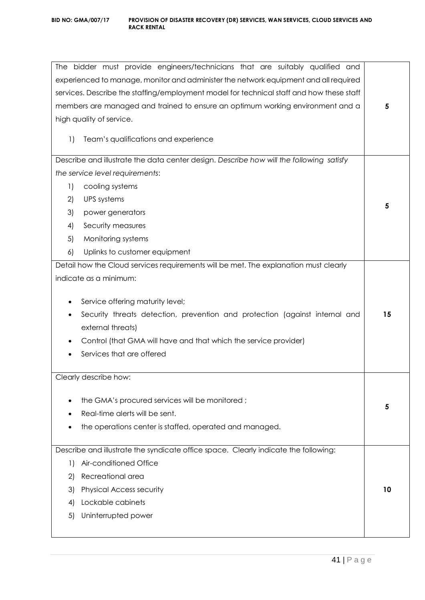|                                                                                          | The bidder must provide engineers/technicians that are suitably qualified and<br>experienced to manage, monitor and administer the network equipment and all required |    |  |
|------------------------------------------------------------------------------------------|-----------------------------------------------------------------------------------------------------------------------------------------------------------------------|----|--|
| services. Describe the staffing/employment model for technical staff and how these staff |                                                                                                                                                                       |    |  |
|                                                                                          | members are managed and trained to ensure an optimum working environment and a                                                                                        | 5  |  |
|                                                                                          | high quality of service.                                                                                                                                              |    |  |
|                                                                                          |                                                                                                                                                                       |    |  |
| $\left  \right $                                                                         | Team's qualifications and experience                                                                                                                                  |    |  |
|                                                                                          | Describe and illustrate the data center design. Describe how will the following satisfy                                                                               |    |  |
|                                                                                          | the service level requirements:                                                                                                                                       |    |  |
| 1)                                                                                       | cooling systems                                                                                                                                                       |    |  |
| 2)                                                                                       | <b>UPS</b> systems                                                                                                                                                    |    |  |
| 3)                                                                                       | power generators                                                                                                                                                      | 5  |  |
| 4)                                                                                       | Security measures                                                                                                                                                     |    |  |
| 5)                                                                                       | Monitoring systems                                                                                                                                                    |    |  |
| 6)                                                                                       | Uplinks to customer equipment                                                                                                                                         |    |  |
|                                                                                          | Detail how the Cloud services requirements will be met. The explanation must clearly                                                                                  |    |  |
|                                                                                          | indicate as a minimum:                                                                                                                                                |    |  |
|                                                                                          |                                                                                                                                                                       |    |  |
|                                                                                          | Service offering maturity level;                                                                                                                                      |    |  |
| ٠                                                                                        | Security threats detection, prevention and protection (against internal and                                                                                           | 15 |  |
|                                                                                          | external threats)                                                                                                                                                     |    |  |
|                                                                                          | Control (that GMA will have and that which the service provider)                                                                                                      |    |  |
|                                                                                          | Services that are offered                                                                                                                                             |    |  |
|                                                                                          | Clearly describe how:                                                                                                                                                 |    |  |
|                                                                                          |                                                                                                                                                                       |    |  |
|                                                                                          | the GMA's procured services will be monitored;                                                                                                                        | 5  |  |
|                                                                                          | Real-time alerts will be sent.                                                                                                                                        |    |  |
|                                                                                          | the operations center is staffed, operated and managed.                                                                                                               |    |  |
|                                                                                          | Describe and illustrate the syndicate office space. Clearly indicate the following:                                                                                   |    |  |
| 1)                                                                                       | Air-conditioned Office                                                                                                                                                |    |  |
| 2)                                                                                       | Recreational area                                                                                                                                                     |    |  |
| 3)                                                                                       | <b>Physical Access security</b>                                                                                                                                       | 10 |  |
| 4)                                                                                       | Lockable cabinets                                                                                                                                                     |    |  |
| 5)                                                                                       | Uninterrupted power                                                                                                                                                   |    |  |
|                                                                                          |                                                                                                                                                                       |    |  |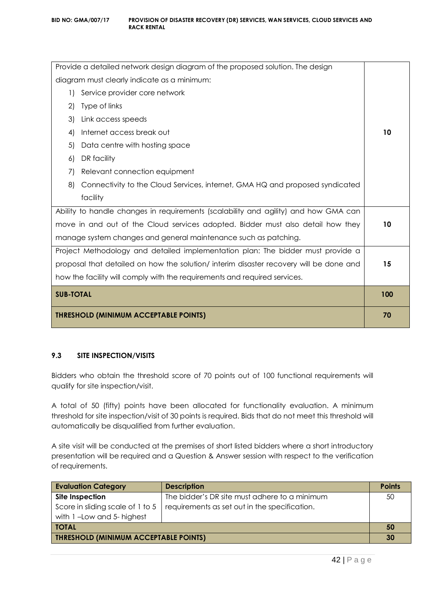| <b>THRESHOLD (MINIMUM ACCEPTABLE POINTS)</b>                                           |    |  |
|----------------------------------------------------------------------------------------|----|--|
| <b>SUB-TOTAL</b>                                                                       |    |  |
| how the facility will comply with the requirements and required services.              |    |  |
| proposal that detailed on how the solution/ interim disaster recovery will be done and |    |  |
| Project Methodology and detailed implementation plan: The bidder must provide a        |    |  |
| manage system changes and general maintenance such as patching.                        |    |  |
| move in and out of the Cloud services adopted. Bidder must also detail how they        |    |  |
| Ability to handle changes in requirements (scalability and agility) and how GMA can    |    |  |
| facility                                                                               |    |  |
| 8)<br>Connectivity to the Cloud Services, internet, GMA HQ and proposed syndicated     |    |  |
| Relevant connection equipment<br>7)                                                    |    |  |
| DR facility<br>6)                                                                      |    |  |
| 5)<br>Data centre with hosting space                                                   |    |  |
| Internet access break out<br>4)                                                        | 10 |  |
| 3)<br>Link access speeds                                                               |    |  |
| Type of links<br>2)                                                                    |    |  |
| Service provider core network<br>$\left  \right $                                      |    |  |
| diagram must clearly indicate as a minimum:                                            |    |  |
| Provide a detailed network design diagram of the proposed solution. The design         |    |  |

# **9.3 SITE INSPECTION/VISITS**

Bidders who obtain the threshold score of 70 points out of 100 functional requirements will qualify for site inspection/visit.

A total of 50 (fifty) points have been allocated for functionality evaluation. A minimum threshold for site inspection/visit of 30 points is required. Bids that do not meet this threshold will automatically be disqualified from further evaluation.

A site visit will be conducted at the premises of short listed bidders where a short introductory presentation will be required and a Question & Answer session with respect to the verification of requirements.

| <b>Evaluation Category</b>                   | <b>Description</b>                            | <b>Points</b> |
|----------------------------------------------|-----------------------------------------------|---------------|
| Site Inspection                              | The bidder's DR site must adhere to a minimum | 50            |
| Score in sliding scale of 1 to 5             | requirements as set out in the specification. |               |
| with 1-Low and 5- highest                    |                                               |               |
| <b>TOTAL</b>                                 |                                               |               |
| <b>THRESHOLD (MINIMUM ACCEPTABLE POINTS)</b> |                                               |               |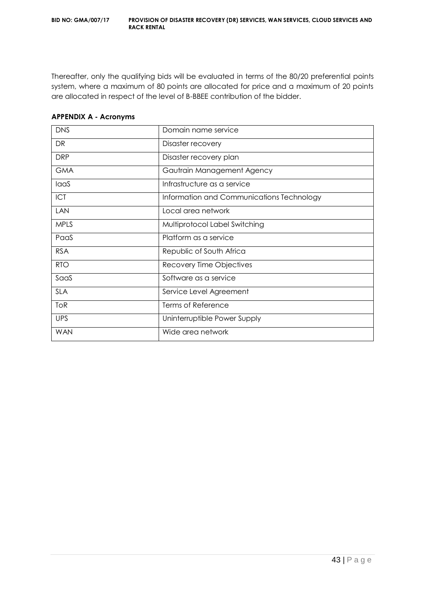Thereafter, only the qualifying bids will be evaluated in terms of the 80/20 preferential points system, where a maximum of 80 points are allocated for price and a maximum of 20 points are allocated in respect of the level of B-BBEE contribution of the bidder.

| <b>DNS</b>  | Domain name service                       |
|-------------|-------------------------------------------|
| DR          | Disaster recovery                         |
| <b>DRP</b>  | Disaster recovery plan                    |
| <b>GMA</b>  | Gautrain Management Agency                |
| laaS        | Infrastructure as a service               |
| <b>ICT</b>  | Information and Communications Technology |
| <b>LAN</b>  | Local area network                        |
| <b>MPLS</b> | Multiprotocol Label Switching             |
| PaaS        | Platform as a service                     |
| <b>RSA</b>  | Republic of South Africa                  |
| <b>RTO</b>  | Recovery Time Objectives                  |
| SaaS        | Software as a service                     |
| <b>SLA</b>  | Service Level Agreement                   |
| <b>ToR</b>  | <b>Terms of Reference</b>                 |
| <b>UPS</b>  | Uninterruptible Power Supply              |
| <b>WAN</b>  | Wide area network                         |

#### **APPENDIX A - Acronyms**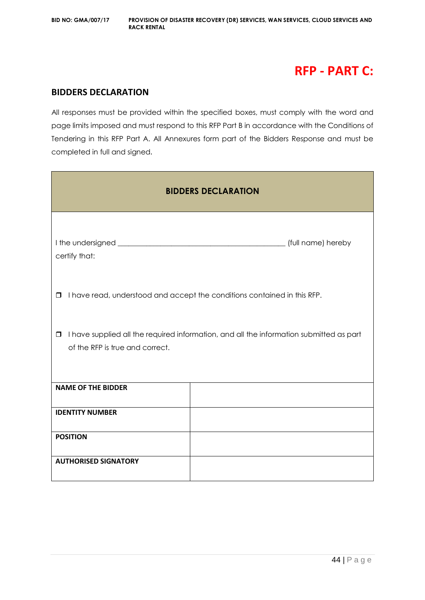# **RFP - PART C:**

# **BIDDERS DECLARATION**

All responses must be provided within the specified boxes, must comply with the word and page limits imposed and must respond to this RFP Part B in accordance with the Conditions of Tendering in this RFP Part A. All Annexures form part of the Bidders Response and must be completed in full and signed.

| <b>BIDDERS DECLARATION</b>                                                                                                           |                    |  |
|--------------------------------------------------------------------------------------------------------------------------------------|--------------------|--|
| certify that:                                                                                                                        | (full name) hereby |  |
| I have read, understood and accept the conditions contained in this RFP.<br>$\Box$                                                   |                    |  |
| I have supplied all the required information, and all the information submitted as part<br>$\Box$<br>of the RFP is true and correct. |                    |  |
| <b>NAME OF THE BIDDER</b>                                                                                                            |                    |  |
| <b>IDENTITY NUMBER</b>                                                                                                               |                    |  |
| <b>POSITION</b>                                                                                                                      |                    |  |
| <b>AUTHORISED SIGNATORY</b>                                                                                                          |                    |  |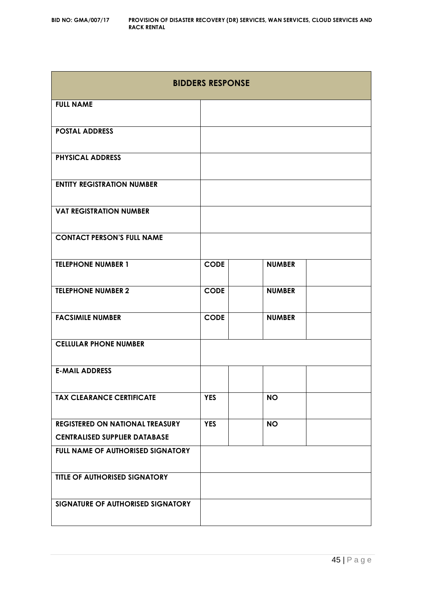| <b>BIDDERS RESPONSE</b>                                                        |             |               |  |
|--------------------------------------------------------------------------------|-------------|---------------|--|
| <b>FULL NAME</b>                                                               |             |               |  |
| <b>POSTAL ADDRESS</b>                                                          |             |               |  |
| <b>PHYSICAL ADDRESS</b>                                                        |             |               |  |
| <b>ENTITY REGISTRATION NUMBER</b>                                              |             |               |  |
| <b>VAT REGISTRATION NUMBER</b>                                                 |             |               |  |
| <b>CONTACT PERSON'S FULL NAME</b>                                              |             |               |  |
| <b>TELEPHONE NUMBER 1</b>                                                      | <b>CODE</b> | <b>NUMBER</b> |  |
| <b>TELEPHONE NUMBER 2</b>                                                      | <b>CODE</b> | <b>NUMBER</b> |  |
| <b>FACSIMILE NUMBER</b>                                                        | <b>CODE</b> | <b>NUMBER</b> |  |
| <b>CELLULAR PHONE NUMBER</b>                                                   |             |               |  |
| <b>E-MAIL ADDRESS</b>                                                          |             |               |  |
| <b>TAX CLEARANCE CERTIFICATE</b>                                               | <b>YES</b>  | <b>NO</b>     |  |
| <b>REGISTERED ON NATIONAL TREASURY</b><br><b>CENTRALISED SUPPLIER DATABASE</b> | <b>YES</b>  | <b>NO</b>     |  |
| FULL NAME OF AUTHORISED SIGNATORY                                              |             |               |  |
| TITLE OF AUTHORISED SIGNATORY                                                  |             |               |  |
| SIGNATURE OF AUTHORISED SIGNATORY                                              |             |               |  |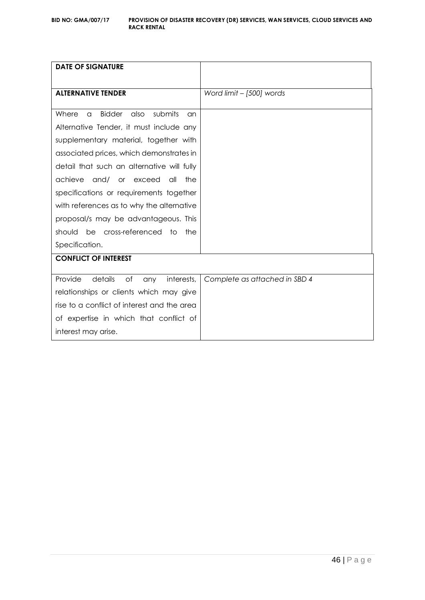| <b>DATE OF SIGNATURE</b>                                    |                               |
|-------------------------------------------------------------|-------------------------------|
| <b>ALTERNATIVE TENDER</b>                                   | Word limit - [500] words      |
| Where<br><b>Bidder</b><br>also<br>submits<br>$\alpha$<br>an |                               |
| Alternative Tender, it must include any                     |                               |
| supplementary material, together with                       |                               |
| associated prices, which demonstrates in                    |                               |
| detail that such an alternative will fully                  |                               |
| achieve<br>and/ or exceed<br>all<br>the                     |                               |
| specifications or requirements together                     |                               |
| with references as to why the alternative                   |                               |
| proposal/s may be advantageous. This                        |                               |
| be cross-referenced to<br>should<br>the                     |                               |
| Specification.                                              |                               |
| <b>CONFLICT OF INTEREST</b>                                 |                               |
| Provide<br>details<br>of<br>interests,<br>any               | Complete as attached in SBD 4 |
| relationships or clients which may give                     |                               |
| rise to a conflict of interest and the area                 |                               |
| of expertise in which that conflict of                      |                               |
| interest may arise.                                         |                               |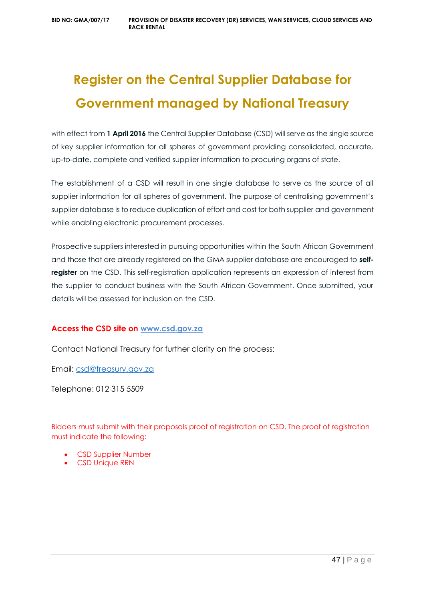# **Register on the Central Supplier Database for Government managed by National Treasury**

with effect from **1 April 2016** the Central Supplier Database (CSD) will serve as the single source of key supplier information for all spheres of government providing consolidated, accurate, up-to-date, complete and verified supplier information to procuring organs of state.

The establishment of a CSD will result in one single database to serve as the source of all supplier information for all spheres of government. The purpose of centralising government's supplier database is to reduce duplication of effort and cost for both supplier and government while enabling electronic procurement processes.

Prospective suppliers interested in pursuing opportunities within the South African Government and those that are already registered on the GMA supplier database are encouraged to **selfregister** on the CSD. This self-registration application represents an expression of interest from the supplier to conduct business with the South African Government. Once submitted, your details will be assessed for inclusion on the CSD.

# **Access the CSD site on [www.csd.gov.za](http://www.csd.gov.za/)**

Contact National Treasury for further clarity on the process:

Email: [csd@treasury.gov.za](mailto:csd@treasury.gov.za)

Telephone: 012 315 5509

Bidders must submit with their proposals proof of registration on CSD. The proof of registration must indicate the following:

- CSD Supplier Number
- CSD Unique RRN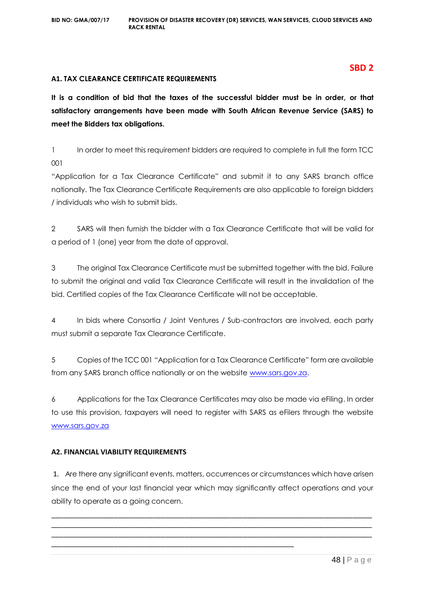#### **A1. TAX CLEARANCE CERTIFICATE REQUIREMENTS**

**It is a condition of bid that the taxes of the successful bidder must be in order, or that satisfactory arrangements have been made with South African Revenue Service (SARS) to meet the Bidders tax obligations.**

1 In order to meet this requirement bidders are required to complete in full the form TCC 001

"Application for a Tax Clearance Certificate" and submit it to any SARS branch office nationally. The Tax Clearance Certificate Requirements are also applicable to foreign bidders / individuals who wish to submit bids.

2 SARS will then furnish the bidder with a Tax Clearance Certificate that will be valid for a period of 1 (one) year from the date of approval.

3 The original Tax Clearance Certificate must be submitted together with the bid. Failure to submit the original and valid Tax Clearance Certificate will result in the invalidation of the bid. Certified copies of the Tax Clearance Certificate will not be acceptable.

4 In bids where Consortia / Joint Ventures / Sub-contractors are involved, each party must submit a separate Tax Clearance Certificate.

5 Copies of the TCC 001 "Application for a Tax Clearance Certificate" form are available from any SARS branch office nationally or on the website [www.sars.gov.za.](http://www.sars.gov.za/)

6 Applications for the Tax Clearance Certificates may also be made via eFiling. In order to use this provision, taxpayers will need to register with SARS as eFilers through the website [www.sars.gov.za](http://www.sars.gov.za/)

# **A2. FINANCIAL VIABILITY REQUIREMENTS**

1. Are there any significant events, matters, occurrences or circumstances which have arisen since the end of your last financial year which may significantly affect operations and your ability to operate as a going concern.

\_\_\_\_\_\_\_\_\_\_\_\_\_\_\_\_\_\_\_\_\_\_\_\_\_\_\_\_\_\_\_\_\_\_\_\_\_\_\_\_\_\_\_\_\_\_\_\_\_\_\_\_\_\_\_\_\_\_\_\_\_\_\_\_\_\_\_\_\_\_\_\_\_\_\_\_\_\_\_\_\_\_ \_\_\_\_\_\_\_\_\_\_\_\_\_\_\_\_\_\_\_\_\_\_\_\_\_\_\_\_\_\_\_\_\_\_\_\_\_\_\_\_\_\_\_\_\_\_\_\_\_\_\_\_\_\_\_\_\_\_\_\_\_\_\_\_\_\_\_\_\_\_\_\_\_\_\_\_\_\_\_\_\_\_ \_\_\_\_\_\_\_\_\_\_\_\_\_\_\_\_\_\_\_\_\_\_\_\_\_\_\_\_\_\_\_\_\_\_\_\_\_\_\_\_\_\_\_\_\_\_\_\_\_\_\_\_\_\_\_\_\_\_\_\_\_\_\_\_\_\_\_\_\_\_\_\_\_\_\_\_\_\_\_\_\_\_

\_\_\_\_\_\_\_\_\_\_\_\_\_\_\_\_\_\_\_\_\_\_\_\_\_\_\_\_\_\_\_\_\_\_\_\_\_\_\_\_\_\_\_\_\_\_\_\_\_\_\_\_\_\_\_\_\_\_\_\_\_\_

#### **SBD 2**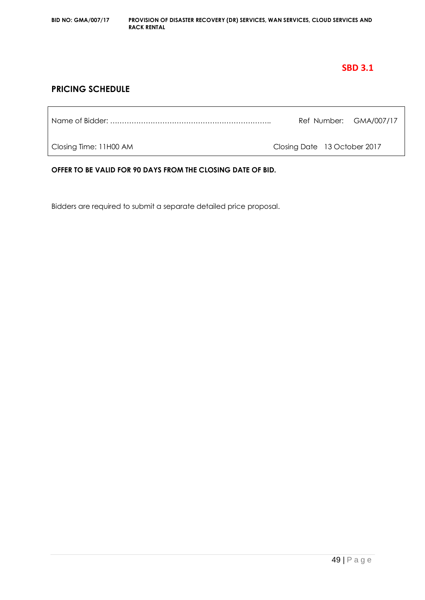# **SBD 3.1**

# **PRICING SCHEDULE**

|                        |                              | Ref Number: GMA/007/17 |
|------------------------|------------------------------|------------------------|
| Closing Time: 11H00 AM | Closing Date 13 October 2017 |                        |

**OFFER TO BE VALID FOR 90 DAYS FROM THE CLOSING DATE OF BID.**

Bidders are required to submit a separate detailed price proposal.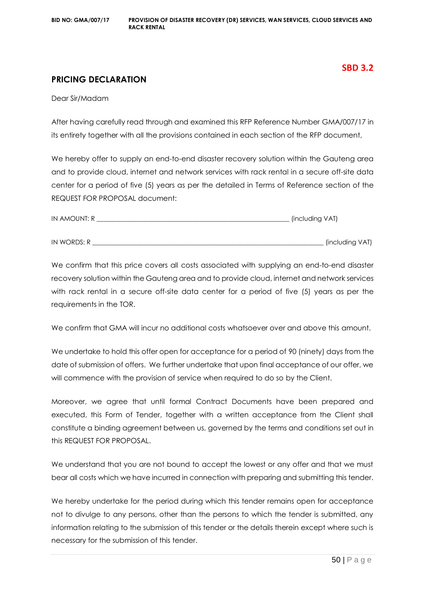# **SBD 3.2**

# **PRICING DECLARATION**

Dear Sir/Madam

After having carefully read through and examined this RFP Reference Number GMA/007/17 in its entirety together with all the provisions contained in each section of the RFP document,

We hereby offer to supply an end-to-end disaster recovery solution within the Gauteng area and to provide cloud, internet and network services with rack rental in a secure off-site data center for a period of five (5) years as per the detailed in Terms of Reference section of the REQUEST FOR PROPOSAL document:

| IN AMOUNT: R | . (including VAT) |
|--------------|-------------------|
|              |                   |
| IN WORDS: R  | [including VAT]   |

We confirm that this price covers all costs associated with supplying an end-to-end disaster recovery solution within the Gauteng area and to provide cloud, internet and network services with rack rental in a secure off-site data center for a period of five (5) years as per the requirements in the TOR.

We confirm that GMA will incur no additional costs whatsoever over and above this amount.

We undertake to hold this offer open for acceptance for a period of 90 (ninety) days from the date of submission of offers. We further undertake that upon final acceptance of our offer, we will commence with the provision of service when required to do so by the Client.

Moreover, we agree that until formal Contract Documents have been prepared and executed, this Form of Tender, together with a written acceptance from the Client shall constitute a binding agreement between us, governed by the terms and conditions set out in this REQUEST FOR PROPOSAL.

We understand that you are not bound to accept the lowest or any offer and that we must bear all costs which we have incurred in connection with preparing and submitting this tender.

We hereby undertake for the period during which this tender remains open for acceptance not to divulge to any persons, other than the persons to which the tender is submitted, any information relating to the submission of this tender or the details therein except where such is necessary for the submission of this tender.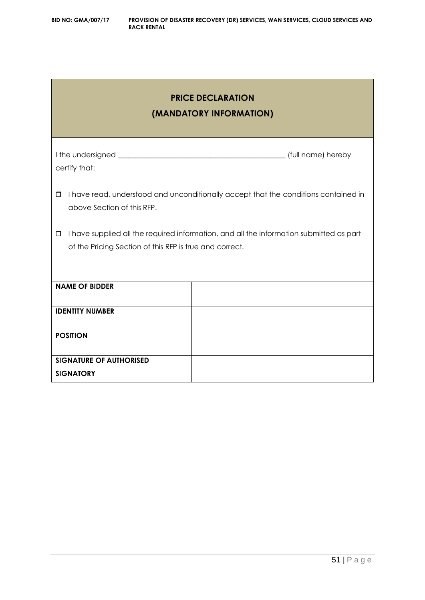| <b>PRICE DECLARATION</b><br>(MANDATORY INFORMATION)                                                                                                          |  |  |
|--------------------------------------------------------------------------------------------------------------------------------------------------------------|--|--|
| certify that:                                                                                                                                                |  |  |
| I have read, understood and unconditionally accept that the conditions contained in<br>□<br>above Section of this RFP.                                       |  |  |
| I have supplied all the required information, and all the information submitted as part<br>$\Box$<br>of the Pricing Section of this RFP is true and correct. |  |  |
| <b>NAME OF BIDDER</b>                                                                                                                                        |  |  |
| <b>IDENTITY NUMBER</b>                                                                                                                                       |  |  |
| <b>POSITION</b>                                                                                                                                              |  |  |
| <b>SIGNATURE OF AUTHORISED</b><br><b>SIGNATORY</b>                                                                                                           |  |  |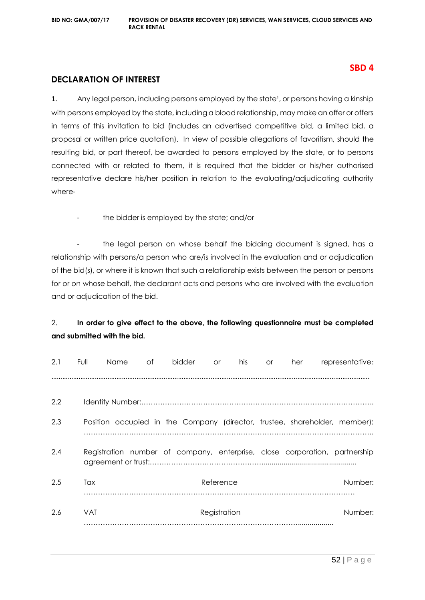# **SBD 4**

# **DECLARATION OF INTEREST**

1. Any legal person, including persons employed by the state<sup>1</sup>, or persons having a kinship with persons employed by the state, including a blood relationship, may make an offer or offers in terms of this invitation to bid (includes an advertised competitive bid, a limited bid, a proposal or written price quotation). In view of possible allegations of favoritism, should the resulting bid, or part thereof, be awarded to persons employed by the state, or to persons connected with or related to them, it is required that the bidder or his/her authorised representative declare his/her position in relation to the evaluating/adjudicating authority where-

the bidder is employed by the state; and/or

the legal person on whose behalf the bidding document is signed, has a relationship with persons/a person who are/is involved in the evaluation and or adjudication of the bid(s), or where it is known that such a relationship exists between the person or persons for or on whose behalf, the declarant acts and persons who are involved with the evaluation and or adjudication of the bid.

# 2. **In order to give effect to the above, the following questionnaire must be completed and submitted with the bid.**

| 2.1 | Full       | Name | of | bidder | <b>or</b>    | his | <b>or</b> | her | representative:                                                            |
|-----|------------|------|----|--------|--------------|-----|-----------|-----|----------------------------------------------------------------------------|
|     |            |      |    |        |              |     |           |     |                                                                            |
| 2.2 |            |      |    |        |              |     |           |     |                                                                            |
| 2.3 |            |      |    |        |              |     |           |     | Position occupied in the Company (director, trustee, shareholder, member): |
| 2.4 |            |      |    |        |              |     |           |     | Registration number of company, enterprise, close corporation, partnership |
| 2.5 | Tax        |      |    |        | Reference    |     |           |     | Number:                                                                    |
| 2.6 | <b>VAT</b> |      |    |        | Registration |     |           |     | Number:                                                                    |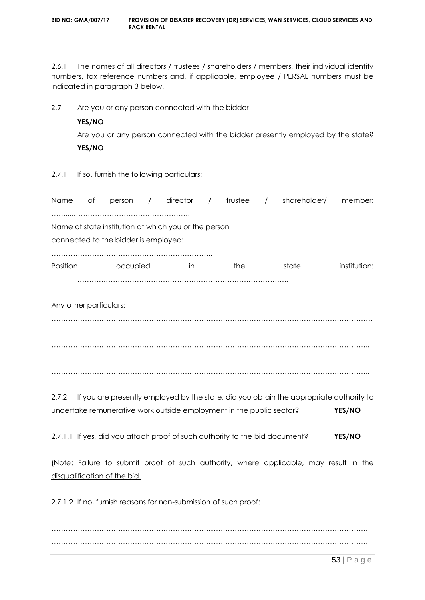2.6.1 The names of all directors / trustees / shareholders / members, their individual identity numbers, tax reference numbers and, if applicable, employee / PERSAL numbers must be indicated in paragraph 3 below.

2.7 Are you or any person connected with the bidder

# **YES/NO**

Are you or any person connected with the bidder presently employed by the state? **YES/NO**

2.7.1 If so, furnish the following particulars:

| Name     | of                     | person                                                                                       | / director | $\sqrt{2}$ | trustee | $\sqrt{2}$ | shareholder/                                                                            | member:      |
|----------|------------------------|----------------------------------------------------------------------------------------------|------------|------------|---------|------------|-----------------------------------------------------------------------------------------|--------------|
|          |                        | Name of state institution at which you or the person<br>connected to the bidder is employed: |            |            |         |            |                                                                                         |              |
| Position |                        | <b>Example occupied</b>                                                                      | in.        |            | the     |            | state                                                                                   | institution: |
|          | Any other particulars: |                                                                                              |            |            |         |            |                                                                                         |              |
|          |                        |                                                                                              |            |            |         |            |                                                                                         |              |
|          |                        |                                                                                              |            |            |         |            |                                                                                         |              |
| 2.7.2    |                        |                                                                                              |            |            |         |            | If you are presently employed by the state, did you obtain the appropriate authority to |              |
|          |                        | undertake remunerative work outside employment in the public sector?                         |            |            |         |            |                                                                                         | YES/NO       |
|          |                        | 2.7.1.1 If yes, did you attach proof of such authority to the bid document?                  |            |            |         |            |                                                                                         | YES/NO       |
|          |                        | disqualification of the bid.                                                                 |            |            |         |            | (Note: Failure to submit proof of such authority, where applicable, may result in the   |              |
|          |                        | 2.7.1.2 If no, furnish reasons for non-submission of such proof:                             |            |            |         |            |                                                                                         |              |

……………………………………………………………………………………………………………………. …………………………………………………………………………………………………………………….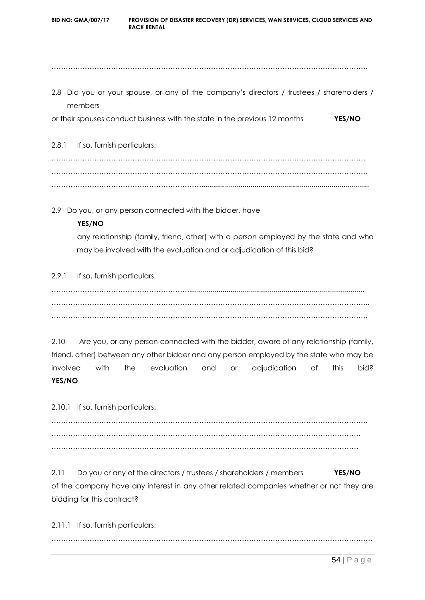**BID NO: GMA/007/17 PROVISION OF DISASTER RECOVERY (DR) SERVICES, WAN SERVICES, CLOUD SERVICES AND RACK RENTAL** ……………………………………………………………………………………………………………………. 2.8 Did you or your spouse, or any of the company's directors / trustees / shareholders / members or their spouses conduct business with the state in the previous 12 months **YES/NO** 2.8.1 If so, furnish particulars: …………………………………………………………………………………………………………………… ……………………………………………………………………………………………………………………. ………………………………………………………..................................................................................... 2.9 Do you, or any person connected with the bidder, have **YES/NO** any relationship (family, friend, other) with a person employed by the state and who

2.9.1 If so, furnish particulars.

………………………………………………….......................................................................................... …………………………………………………………………………………………………………………….. …………………………………………………………………………………………………………………….

may be involved with the evaluation and or adjudication of this bid?

2.10 Are you, or any person connected with the bidder, aware of any relationship (family, friend, other) between any other bidder and any person employed by the state who may be involved with the evaluation and or adjudication of this bid? **YES/NO**

2.10.1 If so, furnish particulars**.**

……………………………………………………………………………………………………………………. …………………………………………………………………………………………………………………. …………………………………………………………………………………………………………………

2.11 Do you or any of the directors / trustees / shareholders / members **YES/NO** of the company have any interest in any other related companies whether or not they are bidding for this contract?

2.11.1 If so, furnish particulars: ………………………………………………………………………………………………………………………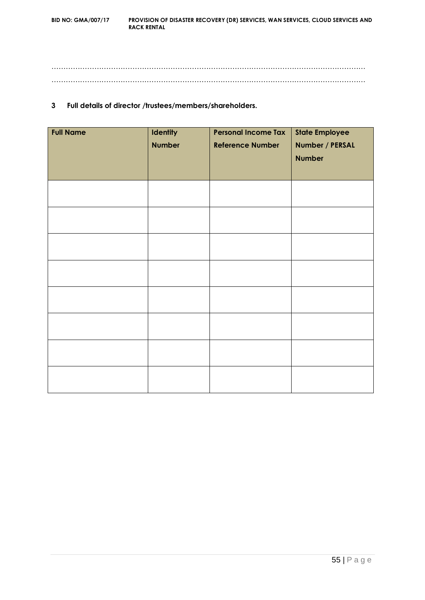…………………………………………………………………………………………………………………… ……………………………………………………………………………………………………………………

### **3 Full details of director /trustees/members/shareholders.**

| <b>Full Name</b> | <b>Identity</b> | <b>Personal Income Tax</b> | <b>State Employee</b> |
|------------------|-----------------|----------------------------|-----------------------|
|                  | <b>Number</b>   | <b>Reference Number</b>    | Number / PERSAL       |
|                  |                 |                            | <b>Number</b>         |
|                  |                 |                            |                       |
|                  |                 |                            |                       |
|                  |                 |                            |                       |
|                  |                 |                            |                       |
|                  |                 |                            |                       |
|                  |                 |                            |                       |
|                  |                 |                            |                       |
|                  |                 |                            |                       |
|                  |                 |                            |                       |
|                  |                 |                            |                       |
|                  |                 |                            |                       |
|                  |                 |                            |                       |
|                  |                 |                            |                       |
|                  |                 |                            |                       |
|                  |                 |                            |                       |
|                  |                 |                            |                       |
|                  |                 |                            |                       |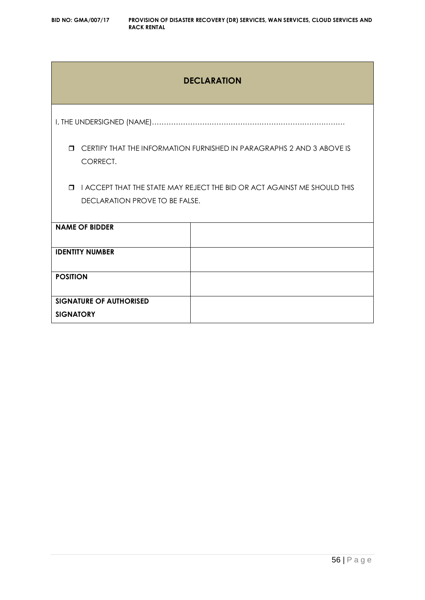# **DECLARATION**

I, THE UNDERSIGNED (NAME)………………………………………………………………………

 CERTIFY THAT THE INFORMATION FURNISHED IN PARAGRAPHS 2 AND 3 ABOVE IS CORRECT.

 I ACCEPT THAT THE STATE MAY REJECT THE BID OR ACT AGAINST ME SHOULD THIS DECLARATION PROVE TO BE FALSE.

| <b>NAME OF BIDDER</b>          |  |
|--------------------------------|--|
| <b>IDENTITY NUMBER</b>         |  |
| <b>POSITION</b>                |  |
| <b>SIGNATURE OF AUTHORISED</b> |  |
| <b>SIGNATORY</b>               |  |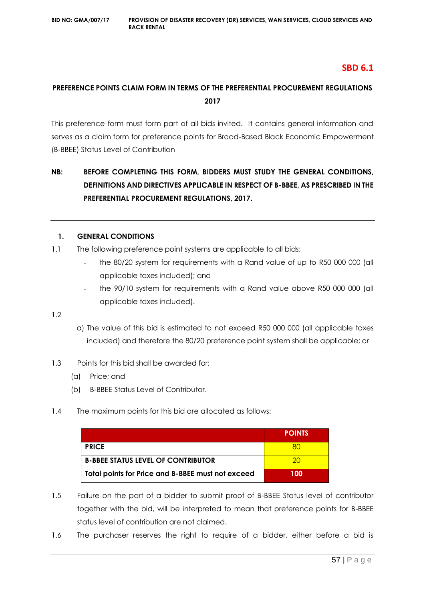# **SBD 6.1**

# **PREFERENCE POINTS CLAIM FORM IN TERMS OF THE PREFERENTIAL PROCUREMENT REGULATIONS 2017**

This preference form must form part of all bids invited. It contains general information and serves as a claim form for preference points for Broad-Based Black Economic Empowerment (B-BBEE) Status Level of Contribution

# **NB: BEFORE COMPLETING THIS FORM, BIDDERS MUST STUDY THE GENERAL CONDITIONS, DEFINITIONS AND DIRECTIVES APPLICABLE IN RESPECT OF B-BBEE, AS PRESCRIBED IN THE PREFERENTIAL PROCUREMENT REGULATIONS, 2017.**

#### **1. GENERAL CONDITIONS**

- 1.1 The following preference point systems are applicable to all bids:
	- the 80/20 system for requirements with a Rand value of up to R50 000 000 (all applicable taxes included); and
	- the 90/10 system for requirements with a Rand value above R50 000 000 (all applicable taxes included).

1.2

- a) The value of this bid is estimated to not exceed R50 000 000 (all applicable taxes included) and therefore the 80/20 preference point system shall be applicable; or
- 1.3 Points for this bid shall be awarded for:
	- (a) Price; and
	- (b) B-BBEE Status Level of Contributor.
- 1.4 The maximum points for this bid are allocated as follows:

|                                                   | <b>POINTS</b> |
|---------------------------------------------------|---------------|
| <b>PRICE</b>                                      |               |
| <b>B-BBEE STATUS LEVEL OF CONTRIBUTOR</b>         | ാറ            |
| Total points for Price and B-BBEE must not exceed | 100           |

- 1.5 Failure on the part of a bidder to submit proof of B-BBEE Status level of contributor together with the bid, will be interpreted to mean that preference points for B-BBEE status level of contribution are not claimed.
- 1.6 The purchaser reserves the right to require of a bidder, either before a bid is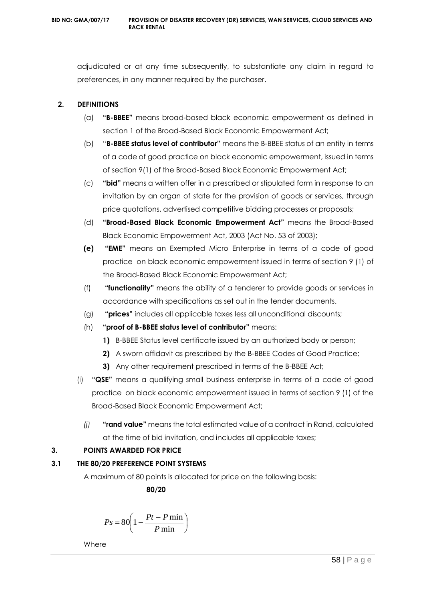adjudicated or at any time subsequently, to substantiate any claim in regard to preferences, in any manner required by the purchaser.

# **2. DEFINITIONS**

- (a) **"B-BBEE"** means broad-based black economic empowerment as defined in section 1 of the Broad-Based Black Economic Empowerment Act;
- (b) "**B-BBEE status level of contributor"** means the B-BBEE status of an entity in terms of a code of good practice on black economic empowerment, issued in terms of section 9(1) of the Broad-Based Black Economic Empowerment Act;
- (c) **"bid"** means a written offer in a prescribed or stipulated form in response to an invitation by an organ of state for the provision of goods or services, through price quotations, advertised competitive bidding processes or proposals;
- (d) **"Broad-Based Black Economic Empowerment Act"** means the Broad-Based Black Economic Empowerment Act, 2003 (Act No. 53 of 2003);
- **(e) "EME"** means an Exempted Micro Enterprise in terms of a code of good practice on black economic empowerment issued in terms of section 9 (1) of the Broad-Based Black Economic Empowerment Act;
- (f) **"functionality"** means the ability of a tenderer to provide goods or services in accordance with specifications as set out in the tender documents.
- (g) **"prices"** includes all applicable taxes less all unconditional discounts;
- (h) **"proof of B-BBEE status level of contributor"** means:
	- **1)** B-BBEE Status level certificate issued by an authorized body or person;
	- **2)** A sworn affidavit as prescribed by the B-BBEE Codes of Good Practice;
	- **3)** Any other requirement prescribed in terms of the B-BBEE Act;
- (i) **"QSE"** means a qualifying small business enterprise in terms of a code of good practice on black economic empowerment issued in terms of section 9 (1) of the Broad-Based Black Economic Empowerment Act;
	- *(j)* **"rand value"** means the total estimated value of a contract in Rand, calculated at the time of bid invitation, and includes all applicable taxes;

# **3. POINTS AWARDED FOR PRICE**

# **3.1 THE 80/20 PREFERENCE POINT SYSTEMS**

A maximum of 80 points is allocated for price on the following basis:

 **80/20**

$$
Ps = 80 \left( 1 - \frac{Pt - P \min}{P \min} \right)
$$

Where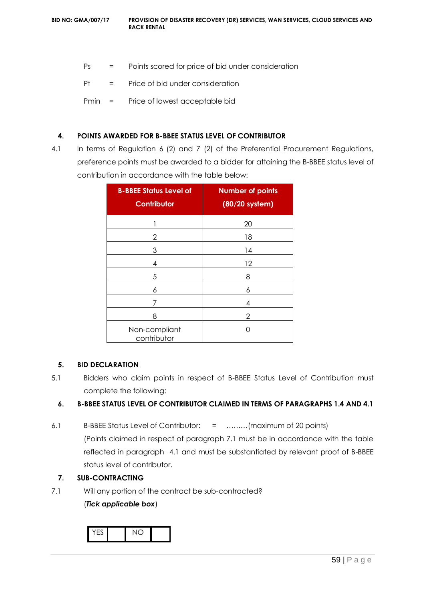- Ps = Points scored for price of bid under consideration
- Pt = Price of bid under consideration
- Pmin = Price of lowest acceptable bid

#### **4. POINTS AWARDED FOR B-BBEE STATUS LEVEL OF CONTRIBUTOR**

4.1 In terms of Regulation 6 (2) and 7 (2) of the Preferential Procurement Regulations, preference points must be awarded to a bidder for attaining the B-BBEE status level of contribution in accordance with the table below:

| <b>B-BBEE Status Level of</b><br><b>Contributor</b> | <b>Number of points</b><br>(80/20 system) |
|-----------------------------------------------------|-------------------------------------------|
|                                                     | 20                                        |
| 2                                                   | 18                                        |
| 3                                                   | 14                                        |
| 4                                                   | 12                                        |
| 5                                                   | 8                                         |
| 6                                                   | 6                                         |
| 7                                                   | 4                                         |
| 8                                                   | 2                                         |
| Non-compliant<br>contributor                        | ∩                                         |

#### **5. BID DECLARATION**

5.1 Bidders who claim points in respect of B-BBEE Status Level of Contribution must complete the following:

# **6. B-BBEE STATUS LEVEL OF CONTRIBUTOR CLAIMED IN TERMS OF PARAGRAPHS 1.4 AND 4.1**

6.1 B-BBEE Status Level of Contributor: = ………(maximum of 20 points) (Points claimed in respect of paragraph 7.1 must be in accordance with the table reflected in paragraph 4.1 and must be substantiated by relevant proof of B-BBEE status level of contributor.

# **7. SUB-CONTRACTING**

7.1 Will any portion of the contract be sub-contracted?

(*Tick applicable box*)

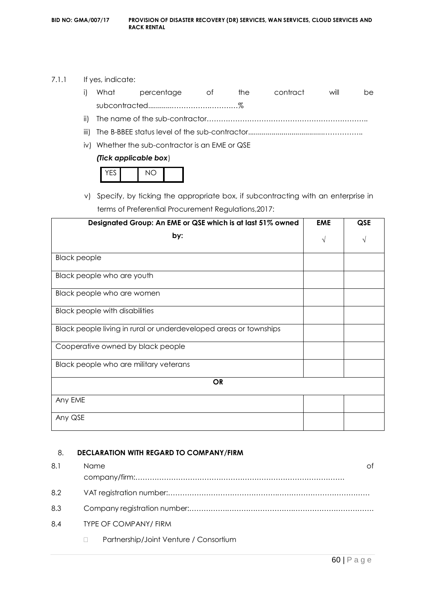# 7.1.1 If yes, indicate:

|  | i) What percentage of the contract |  | will | he. |
|--|------------------------------------|--|------|-----|
|  |                                    |  |      |     |
|  |                                    |  |      |     |

- iii) The B-BBEE status level of the sub-contractor......................................……………..
- iv) Whether the sub-contractor is an EME or QSE

# *(Tick applicable box*)

v) Specify, by ticking the appropriate box, if subcontracting with an enterprise in terms of Preferential Procurement Regulations,2017:

| Designated Group: An EME or QSE which is at last 51% owned        | <b>EME</b> | <b>QSE</b> |
|-------------------------------------------------------------------|------------|------------|
| by:                                                               | $\sqrt{}$  | V          |
| <b>Black people</b>                                               |            |            |
| Black people who are youth                                        |            |            |
| Black people who are women                                        |            |            |
| <b>Black people with disabilities</b>                             |            |            |
| Black people living in rural or underdeveloped areas or townships |            |            |
| Cooperative owned by black people                                 |            |            |
| Black people who are military veterans                            |            |            |
| <b>OR</b>                                                         |            |            |
| Any EME                                                           |            |            |
| Any QSE                                                           |            |            |

# 8. **DECLARATION WITH REGARD TO COMPANY/FIRM**

| 8.1 | Name                                   |
|-----|----------------------------------------|
|     |                                        |
| 8.2 |                                        |
| 8.3 |                                        |
| 8.4 | <b>TYPE OF COMPANY/ FIRM</b>           |
|     | Partnership/Joint Venture / Consortium |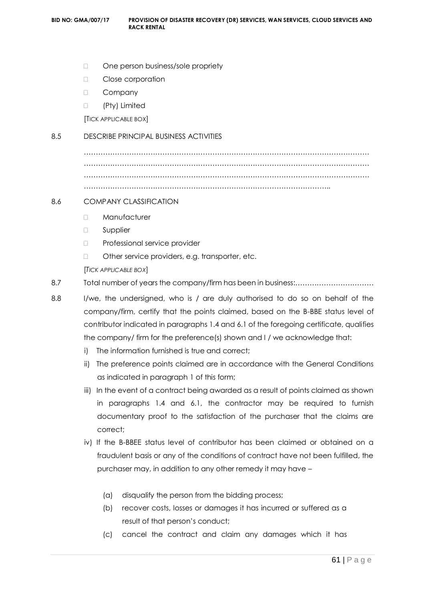- One person business/sole propriety
- D Close corporation
- D Company
- (Pty) Limited

[TICK APPLICABLE BOX]

#### 8.5 DESCRIBE PRINCIPAL BUSINESS ACTIVITIES

………………………………………………………………………………………………………… ………………………………………………………………………………………………………… ………………………………………………………………………………………………………… …………………………………………………………………………………………..

#### 8.6 COMPANY CLASSIFICATION

- D Manufacturer
- **D** Supplier
- D Professional service provider
- □ Other service providers, e.g. transporter, etc.

[*TICK APPLICABLE BOX*]

- 8.7 Total number of years the company/firm has been in business:……………………………
- 8.8 I/we, the undersigned, who is / are duly authorised to do so on behalf of the company/firm, certify that the points claimed, based on the B-BBE status level of contributor indicated in paragraphs 1.4 and 6.1 of the foregoing certificate, qualifies the company/ firm for the preference(s) shown and I / we acknowledge that:
	- i) The information furnished is true and correct;
	- ii) The preference points claimed are in accordance with the General Conditions as indicated in paragraph 1 of this form;
	- iii) In the event of a contract being awarded as a result of points claimed as shown in paragraphs 1.4 and 6.1, the contractor may be required to furnish documentary proof to the satisfaction of the purchaser that the claims are correct;
	- iv) If the B-BBEE status level of contributor has been claimed or obtained on a fraudulent basis or any of the conditions of contract have not been fulfilled, the purchaser may, in addition to any other remedy it may have –
		- (a) disqualify the person from the bidding process;
		- (b) recover costs, losses or damages it has incurred or suffered as a result of that person's conduct;
		- (c) cancel the contract and claim any damages which it has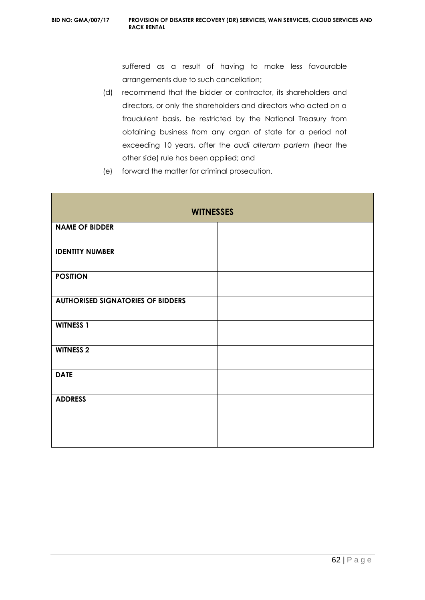suffered as a result of having to make less favourable arrangements due to such cancellation;

- (d) recommend that the bidder or contractor, its shareholders and directors, or only the shareholders and directors who acted on a fraudulent basis, be restricted by the National Treasury from obtaining business from any organ of state for a period not exceeding 10 years, after the *audi alteram partem* (hear the other side) rule has been applied; and
- (e) forward the matter for criminal prosecution.

| <b>WITNESSES</b>                         |  |
|------------------------------------------|--|
| <b>NAME OF BIDDER</b>                    |  |
| <b>IDENTITY NUMBER</b>                   |  |
| <b>POSITION</b>                          |  |
| <b>AUTHORISED SIGNATORIES OF BIDDERS</b> |  |
| <b>WITNESS 1</b>                         |  |
| <b>WITNESS 2</b>                         |  |
| <b>DATE</b>                              |  |
| <b>ADDRESS</b>                           |  |
|                                          |  |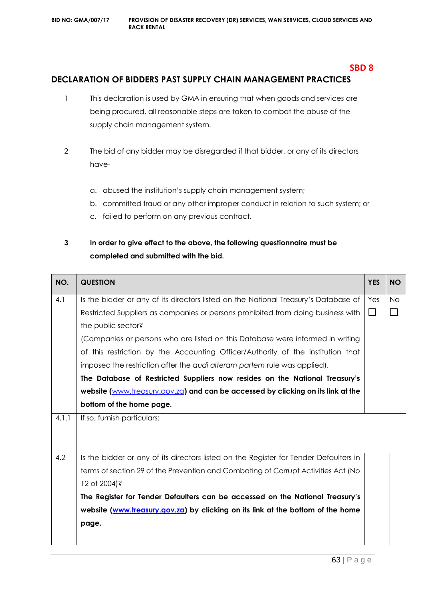# **DECLARATION OF BIDDERS PAST SUPPLY CHAIN MANAGEMENT PRACTICES**

- 1 This declaration is used by GMA in ensuring that when goods and services are being procured, all reasonable steps are taken to combat the abuse of the supply chain management system.
- 2 The bid of any bidder may be disregarded if that bidder, or any of its directors have
	- a. abused the institution's supply chain management system;
	- b. committed fraud or any other improper conduct in relation to such system; or
	- c. failed to perform on any previous contract.

# **3 In order to give effect to the above, the following questionnaire must be completed and submitted with the bid.**

| NO.   | <b>QUESTION</b>                                                                       | <b>YES</b> | <b>NO</b> |
|-------|---------------------------------------------------------------------------------------|------------|-----------|
| 4.1   | Is the bidder or any of its directors listed on the National Treasury's Database of   | Yes        | <b>No</b> |
|       | Restricted Suppliers as companies or persons prohibited from doing business with      | $\Box$     |           |
|       | the public sector?                                                                    |            |           |
|       | (Companies or persons who are listed on this Database were informed in writing        |            |           |
|       | of this restriction by the Accounting Officer/Authority of the institution that       |            |           |
|       | imposed the restriction after the audi alteram partem rule was applied).              |            |           |
|       | The Database of Restricted Suppliers now resides on the National Treasury's           |            |           |
|       | website (www.treasury.gov.za) and can be accessed by clicking on its link at the      |            |           |
|       | bottom of the home page.                                                              |            |           |
| 4.1.1 | If so, furnish particulars:                                                           |            |           |
|       |                                                                                       |            |           |
|       |                                                                                       |            |           |
| 4.2   | Is the bidder or any of its directors listed on the Register for Tender Defaulters in |            |           |
|       | terms of section 29 of the Prevention and Combating of Corrupt Activities Act (No     |            |           |
|       | 12 of 2004)?                                                                          |            |           |
|       | The Register for Tender Defaulters can be accessed on the National Treasury's         |            |           |
|       | website (www.treasury.gov.za) by clicking on its link at the bottom of the home       |            |           |
|       | page.                                                                                 |            |           |
|       |                                                                                       |            |           |

**SBD 8**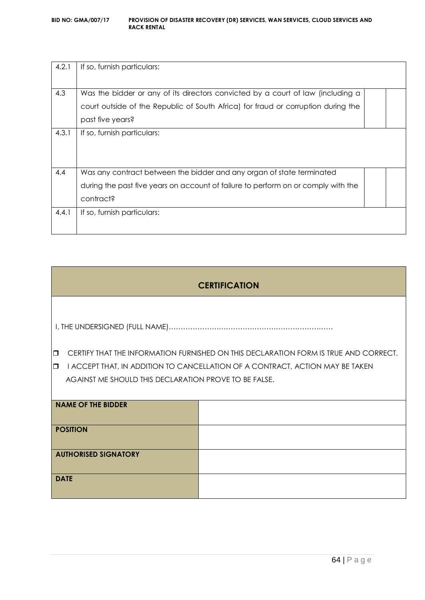| 4.2.1 | If so, furnish particulars:                                                       |  |
|-------|-----------------------------------------------------------------------------------|--|
|       |                                                                                   |  |
| 4.3   | Was the bidder or any of its directors convicted by a court of law (including a   |  |
|       | court outside of the Republic of South Africa) for fraud or corruption during the |  |
|       | past five years?                                                                  |  |
| 4.3.1 | If so, furnish particulars:                                                       |  |
|       |                                                                                   |  |
|       |                                                                                   |  |
| 4.4   | Was any contract between the bidder and any organ of state terminated             |  |
|       | during the past five years on account of failure to perform on or comply with the |  |
|       | contract?                                                                         |  |
| 4.4.1 | If so, furnish particulars:                                                       |  |
|       |                                                                                   |  |

| <b>CERTIFICATION</b>                                                                    |                                                                                      |  |  |
|-----------------------------------------------------------------------------------------|--------------------------------------------------------------------------------------|--|--|
|                                                                                         |                                                                                      |  |  |
|                                                                                         |                                                                                      |  |  |
| $\Box$                                                                                  | CERTIFY THAT THE INFORMATION FURNISHED ON THIS DECLARATION FORM IS TRUE AND CORRECT. |  |  |
| I ACCEPT THAT, IN ADDITION TO CANCELLATION OF A CONTRACT, ACTION MAY BE TAKEN<br>$\Box$ |                                                                                      |  |  |
| AGAINST ME SHOULD THIS DECLARATION PROVE TO BE FALSE.                                   |                                                                                      |  |  |
|                                                                                         |                                                                                      |  |  |
| <b>NAME OF THE BIDDER</b>                                                               |                                                                                      |  |  |
|                                                                                         |                                                                                      |  |  |
| <b>POSITION</b>                                                                         |                                                                                      |  |  |
|                                                                                         |                                                                                      |  |  |
| <b>AUTHORISED SIGNATORY</b>                                                             |                                                                                      |  |  |
|                                                                                         |                                                                                      |  |  |
| <b>DATE</b>                                                                             |                                                                                      |  |  |
|                                                                                         |                                                                                      |  |  |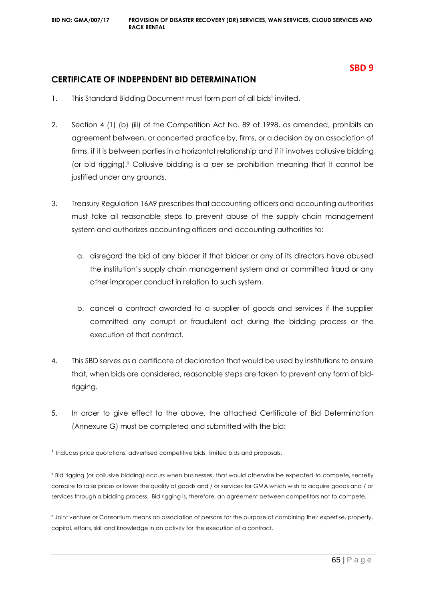# **CERTIFICATE OF INDEPENDENT BID DETERMINATION**

- 1. This Standard Bidding Document must form part of all bids<sup>1</sup> invited.
- 2. Section 4 (1) (b) (iii) of the Competition Act No. 89 of 1998, as amended, prohibits an agreement between, or concerted practice by, firms, or a decision by an association of firms, if it is between parties in a horizontal relationship and if it involves collusive bidding (or bid rigging).² Collusive bidding is a *per se* prohibition meaning that it cannot be justified under any grounds.
- 3. Treasury Regulation 16A9 prescribes that accounting officers and accounting authorities must take all reasonable steps to prevent abuse of the supply chain management system and authorizes accounting officers and accounting authorities to:
	- a. disregard the bid of any bidder if that bidder or any of its directors have abused the institution's supply chain management system and or committed fraud or any other improper conduct in relation to such system.
	- b. cancel a contract awarded to a supplier of goods and services if the supplier committed any corrupt or fraudulent act during the bidding process or the execution of that contract.
- 4. This SBD serves as a certificate of declaration that would be used by institutions to ensure that, when bids are considered, reasonable steps are taken to prevent any form of bidrigging.
- 5. In order to give effect to the above, the attached Certificate of Bid Determination (Annexure G) must be completed and submitted with the bid:

<sup>1</sup> Includes price quotations, advertised competitive bids, limited bids and proposals.

² Bid rigging (or collusive bidding) occurs when businesses, that would otherwise be expected to compete, secretly conspire to raise prices or lower the quality of goods and / or services for GMA which wish to acquire goods and / or services through a bidding process. Bid rigging is, therefore, an agreement between competitors not to compete.

<sup>3</sup> Joint venture or Consortium means an association of persons for the purpose of combining their expertise, property, capital, efforts, skill and knowledge in an activity for the execution of a contract.

65 | P a g e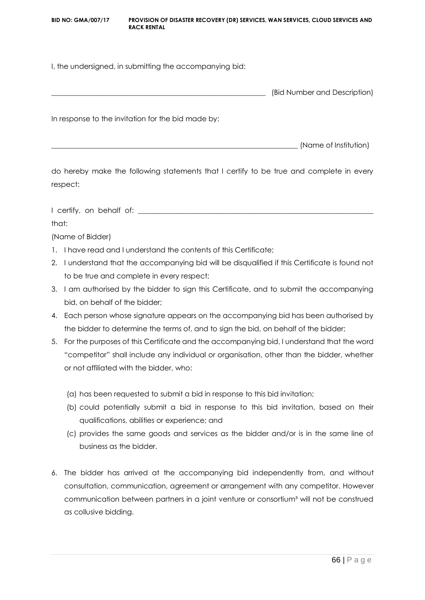**BID NO: GMA/007/17 PROVISION OF DISASTER RECOVERY (DR) SERVICES, WAN SERVICES, CLOUD SERVICES AND RACK RENTAL**

I, the undersigned, in submitting the accompanying bid:

| (Bid Number and Description) |
|------------------------------|
|                              |

In response to the invitation for the bid made by:

\_\_\_\_\_\_\_\_\_\_\_\_\_\_\_\_\_\_\_\_\_\_\_\_\_\_\_\_\_\_\_\_\_\_\_\_\_\_\_\_\_\_\_\_\_\_\_\_\_\_\_\_\_\_\_\_\_\_\_\_\_\_\_\_\_\_\_\_\_ (Name of Institution)

do hereby make the following statements that I certify to be true and complete in every respect:

I certify, on behalf of: \_\_\_\_\_\_\_\_\_\_\_\_\_\_\_\_\_\_\_\_\_\_\_\_\_\_\_\_\_\_\_\_\_\_\_\_\_\_\_\_\_\_\_\_\_\_\_\_\_\_\_\_\_\_\_\_\_\_\_\_\_\_\_\_\_\_

that:

(Name of Bidder)

- 1. I have read and I understand the contents of this Certificate;
- 2. I understand that the accompanying bid will be disqualified if this Certificate is found not to be true and complete in every respect;
- 3. I am authorised by the bidder to sign this Certificate, and to submit the accompanying bid, on behalf of the bidder;
- 4. Each person whose signature appears on the accompanying bid has been authorised by the bidder to determine the terms of, and to sign the bid, on behalf of the bidder;
- 5. For the purposes of this Certificate and the accompanying bid, I understand that the word "competitor" shall include any individual or organisation, other than the bidder, whether or not affiliated with the bidder, who:
	- (a) has been requested to submit a bid in response to this bid invitation;
	- (b) could potentially submit a bid in response to this bid invitation, based on their qualifications, abilities or experience; and
	- (c) provides the same goods and services as the bidder and/or is in the same line of business as the bidder.
- 6. The bidder has arrived at the accompanying bid independently from, and without consultation, communication, agreement or arrangement with any competitor. However communication between partners in a joint venture or consortium<sup>3</sup> will not be construed as collusive bidding.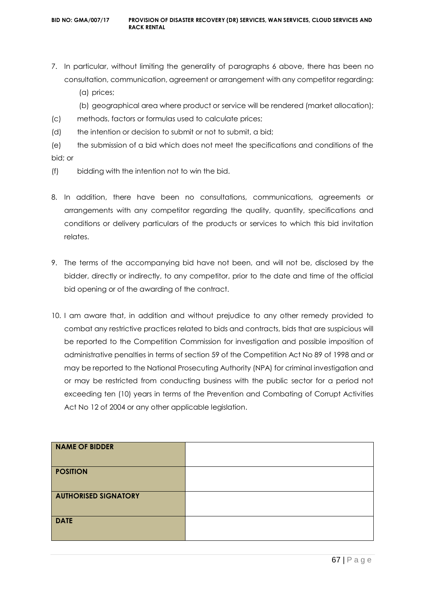- 7. In particular, without limiting the generality of paragraphs 6 above, there has been no consultation, communication, agreement or arrangement with any competitor regarding:
	- (a) prices;
	- (b) geographical area where product or service will be rendered (market allocation);
- (c) methods, factors or formulas used to calculate prices;
- (d) the intention or decision to submit or not to submit, a bid;
- (e) the submission of a bid which does not meet the specifications and conditions of the bid; or
- (f) bidding with the intention not to win the bid.
- 8. In addition, there have been no consultations, communications, agreements or arrangements with any competitor regarding the quality, quantity, specifications and conditions or delivery particulars of the products or services to which this bid invitation relates.
- 9. The terms of the accompanying bid have not been, and will not be, disclosed by the bidder, directly or indirectly, to any competitor, prior to the date and time of the official bid opening or of the awarding of the contract.
- 10. I am aware that, in addition and without prejudice to any other remedy provided to combat any restrictive practices related to bids and contracts, bids that are suspicious will be reported to the Competition Commission for investigation and possible imposition of administrative penalties in terms of section 59 of the Competition Act No 89 of 1998 and or may be reported to the National Prosecuting Authority (NPA) for criminal investigation and or may be restricted from conducting business with the public sector for a period not exceeding ten (10) years in terms of the Prevention and Combating of Corrupt Activities Act No 12 of 2004 or any other applicable legislation.

| <b>NAME OF BIDDER</b>       |  |
|-----------------------------|--|
| <b>POSITION</b>             |  |
| <b>AUTHORISED SIGNATORY</b> |  |
| <b>DATE</b>                 |  |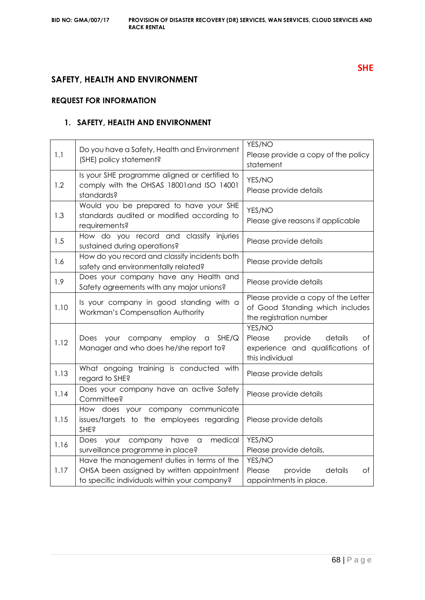# **SAFETY, HEALTH AND ENVIRONMENT**

# **REQUEST FOR INFORMATION**

# **1. SAFETY, HEALTH AND ENVIRONMENT**

| 1.1  | Do you have a Safety, Health and Environment<br>(SHE) policy statement?                                                                 | YES/NO<br>Please provide a copy of the policy<br>statement                                          |  |
|------|-----------------------------------------------------------------------------------------------------------------------------------------|-----------------------------------------------------------------------------------------------------|--|
| 1.2  | Is your SHE programme aligned or certified to<br>comply with the OHSAS 18001 and ISO 14001<br>standards?                                | YES/NO<br>Please provide details                                                                    |  |
| 1.3  | Would you be prepared to have your SHE<br>standards audited or modified according to<br>requirements?                                   | YES/NO<br>Please give reasons if applicable                                                         |  |
| 1.5  | How do you record and classify injuries<br>sustained during operations?                                                                 | Please provide details                                                                              |  |
| 1.6  | How do you record and classify incidents both<br>safety and environmentally related?                                                    | Please provide details                                                                              |  |
| 1.9  | Does your company have any Health and<br>Safety agreements with any major unions?                                                       | Please provide details                                                                              |  |
| 1.10 | Is your company in good standing with a<br>Workman's Compensation Authority                                                             | Please provide a copy of the Letter<br>of Good Standing which includes<br>the registration number   |  |
| 1.12 | your company employ a<br>SHE/Q<br>Does<br>Manager and who does he/she report to?                                                        | YES/NO<br>Please<br>provide<br>of<br>details<br>experience and qualifications of<br>this individual |  |
| 1.13 | What ongoing training is conducted with<br>regard to SHE?                                                                               | Please provide details                                                                              |  |
| 1.14 | Does your company have an active Safety<br>Committee?                                                                                   | Please provide details                                                                              |  |
| 1.15 | How does your company communicate<br>issues/targets to the employees regarding<br><b>SHE?</b>                                           | Please provide details                                                                              |  |
| 1.16 | medical<br>your company have<br>Does<br>a<br>surveillance programme in place?                                                           | YES/NO<br>Please provide details,                                                                   |  |
| 1.17 | Have the management duties in terms of the<br>OHSA been assigned by written appointment<br>to specific individuals within your company? | YES/NO<br>Please<br>provide<br>details<br>of<br>appointments in place.                              |  |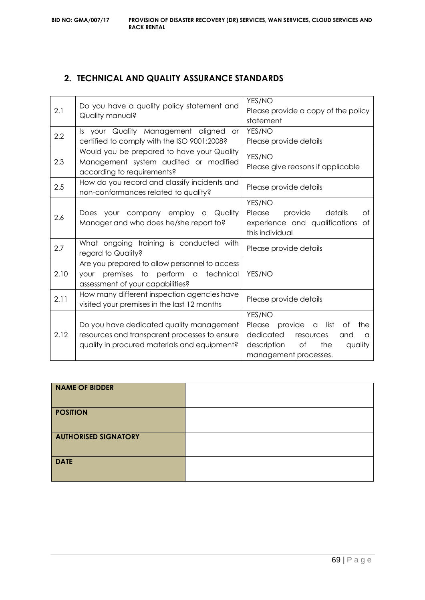# **2. TECHNICAL AND QUALITY ASSURANCE STANDARDS**

| 2.1  |                                                   | YES/NO                                    |  |
|------|---------------------------------------------------|-------------------------------------------|--|
|      | Do you have a quality policy statement and        | Please provide a copy of the policy       |  |
|      | Quality manual?                                   | statement                                 |  |
|      | Is your Quality Management aligned<br><b>or</b>   | YES/NO                                    |  |
| 2.2  | certified to comply with the ISO 9001:2008?       | Please provide details                    |  |
|      | Would you be prepared to have your Quality        | YES/NO                                    |  |
| 2.3  | Management system audited or modified             | Please give reasons if applicable         |  |
|      | according to requirements?                        |                                           |  |
| 2.5  | How do you record and classify incidents and      | Please provide details                    |  |
|      | non-conformances related to quality?              |                                           |  |
|      |                                                   | YES/NO                                    |  |
| 2.6  | Does your company employ a Quality                | Please<br>provide<br>details<br>Οf        |  |
|      | Manager and who does he/she report to?            | experience and qualifications of          |  |
|      |                                                   | this individual                           |  |
| 2.7  | What ongoing training is conducted with           | Please provide details                    |  |
|      | regard to Quality?                                |                                           |  |
| 2.10 | Are you prepared to allow personnel to access     |                                           |  |
|      | premises to perform a<br>technical<br><b>YOUr</b> | YES/NO                                    |  |
|      | assessment of your capabilities?                  |                                           |  |
| 2.11 | How many different inspection agencies have       | Please provide details                    |  |
|      | visited your premises in the last 12 months       |                                           |  |
| 2.12 |                                                   | YES/NO                                    |  |
|      | Do you have dedicated quality management          | Please provide a<br>list<br>the<br>Οf     |  |
|      | resources and transparent processes to ensure     | dedicated<br>resources<br>and<br>$\alpha$ |  |
|      | quality in procured materials and equipment?      | description<br>of<br>the<br>quality       |  |
|      |                                                   | management processes.                     |  |

| <b>NAME OF BIDDER</b>       |  |
|-----------------------------|--|
| <b>POSITION</b>             |  |
| <b>AUTHORISED SIGNATORY</b> |  |
| <b>DATE</b>                 |  |